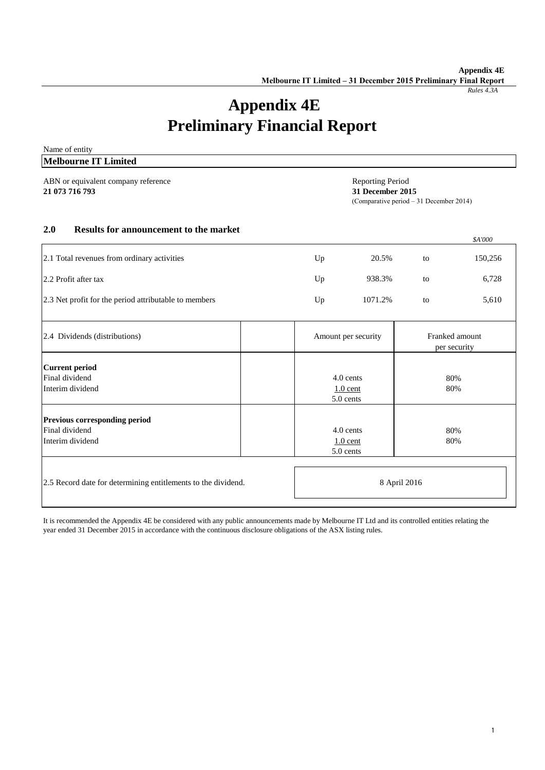*Rules 4.3A*

# **Appendix 4E Preliminary Financial Report**

| Name of entity                                                                                                                                   |    |                                      |    |                                |  |
|--------------------------------------------------------------------------------------------------------------------------------------------------|----|--------------------------------------|----|--------------------------------|--|
| <b>Melbourne IT Limited</b>                                                                                                                      |    |                                      |    |                                |  |
| ABN or equivalent company reference<br><b>Reporting Period</b><br>21 073 716 793<br>31 December 2015<br>(Comparative period $-31$ December 2014) |    |                                      |    |                                |  |
| 2.0<br><b>Results for announcement to the market</b>                                                                                             |    |                                      |    | \$A'000                        |  |
| 2.1 Total revenues from ordinary activities                                                                                                      | Up | 20.5%                                | to | 150,256                        |  |
| 2.2 Profit after tax                                                                                                                             | Up | 938.3%                               | to | 6,728                          |  |
| 2.3 Net profit for the period attributable to members                                                                                            | Up | 1071.2%                              | to | 5,610                          |  |
| 2.4 Dividends (distributions)                                                                                                                    |    | Amount per security                  |    | Franked amount<br>per security |  |
| <b>Current period</b><br>Final dividend<br>Interim dividend                                                                                      |    | 4.0 cents<br>$1.0$ cent<br>5.0 cents |    | 80%<br>80%                     |  |
| Previous corresponding period<br>Final dividend<br>Interim dividend                                                                              |    | 4.0 cents<br>$1.0$ cent<br>5.0 cents |    | 80%<br>80%                     |  |
| 2.5 Record date for determining entitlements to the dividend.                                                                                    |    | 8 April 2016                         |    |                                |  |

It is recommended the Appendix 4E be considered with any public announcements made by Melbourne IT Ltd and its controlled entities relating the year ended 31 December 2015 in accordance with the continuous disclosure obligations of the ASX listing rules.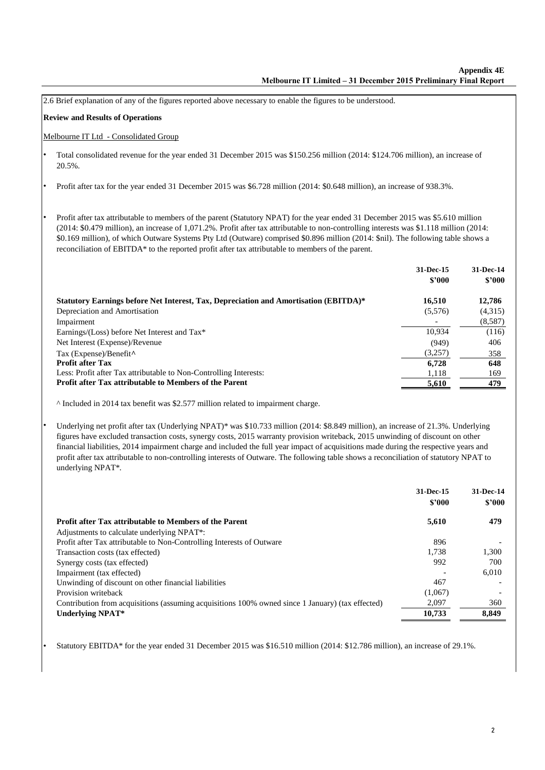|           | 2.6 Brief explanation of any of the figures reported above necessary to enable the figures to be understood.                                                                                                                                                                                                                                                                                                                                                                                                                                                               |                     |                              |
|-----------|----------------------------------------------------------------------------------------------------------------------------------------------------------------------------------------------------------------------------------------------------------------------------------------------------------------------------------------------------------------------------------------------------------------------------------------------------------------------------------------------------------------------------------------------------------------------------|---------------------|------------------------------|
|           | <b>Review and Results of Operations</b>                                                                                                                                                                                                                                                                                                                                                                                                                                                                                                                                    |                     |                              |
|           | Melbourne IT Ltd - Consolidated Group                                                                                                                                                                                                                                                                                                                                                                                                                                                                                                                                      |                     |                              |
| $\bullet$ | Total consolidated revenue for the year ended 31 December 2015 was \$150.256 million (2014: \$124.706 million), an increase of<br>20.5%.                                                                                                                                                                                                                                                                                                                                                                                                                                   |                     |                              |
| $\bullet$ | Profit after tax for the year ended 31 December 2015 was \$6.728 million (2014: \$0.648 million), an increase of 938.3%.                                                                                                                                                                                                                                                                                                                                                                                                                                                   |                     |                              |
|           | Profit after tax attributable to members of the parent (Statutory NPAT) for the year ended 31 December 2015 was \$5.610 million<br>(2014: \$0.479 million), an increase of 1,071.2%. Profit after tax attributable to non-controlling interests was \$1.118 million (2014:<br>\$0.169 million), of which Outware Systems Pty Ltd (Outware) comprised \$0.896 million (2014: \$nil). The following table shows a<br>reconciliation of EBITDA* to the reported profit after tax attributable to members of the parent.                                                       |                     |                              |
|           |                                                                                                                                                                                                                                                                                                                                                                                                                                                                                                                                                                            | 31-Dec-15<br>\$'000 | 31-Dec-14<br>\$'000          |
|           | Statutory Earnings before Net Interest, Tax, Depreciation and Amortisation (EBITDA)*<br>Depreciation and Amortisation<br>Impairment                                                                                                                                                                                                                                                                                                                                                                                                                                        | 16,510<br>(5,576)   | 12,786<br>(4,315)<br>(8,587) |
|           | Earnings/(Loss) before Net Interest and Tax*                                                                                                                                                                                                                                                                                                                                                                                                                                                                                                                               | 10,934              | (116)                        |
|           | Net Interest (Expense)/Revenue                                                                                                                                                                                                                                                                                                                                                                                                                                                                                                                                             | (949)               | 406                          |
|           | Tax (Expense)/Benefit^                                                                                                                                                                                                                                                                                                                                                                                                                                                                                                                                                     | (3,257)             | 358                          |
|           | <b>Profit after Tax</b><br>Less: Profit after Tax attributable to Non-Controlling Interests:                                                                                                                                                                                                                                                                                                                                                                                                                                                                               | 6,728               | 648                          |
|           | Profit after Tax attributable to Members of the Parent                                                                                                                                                                                                                                                                                                                                                                                                                                                                                                                     | 1,118<br>5,610      | 169<br>479                   |
|           | ^ Included in 2014 tax benefit was \$2.577 million related to impairment charge.                                                                                                                                                                                                                                                                                                                                                                                                                                                                                           |                     |                              |
|           | Underlying net profit after tax (Underlying NPAT)* was \$10.733 million (2014: \$8.849 million), an increase of 21.3%. Underlying<br>figures have excluded transaction costs, synergy costs, 2015 warranty provision writeback, 2015 unwinding of discount on other<br>financial liabilities, 2014 impairment charge and included the full year impact of acquisitions made during the respective years and<br>profit after tax attributable to non-controlling interests of Outware. The following table shows a reconciliation of statutory NPAT to<br>underlying NPAT*. |                     |                              |
|           |                                                                                                                                                                                                                                                                                                                                                                                                                                                                                                                                                                            | 31-Dec-15<br>\$'000 | 31-Dec-14<br>\$2000          |
|           | Profit after Tax attributable to Members of the Parent                                                                                                                                                                                                                                                                                                                                                                                                                                                                                                                     | 5,610               | 479                          |
|           | Adjustments to calculate underlying NPAT*:                                                                                                                                                                                                                                                                                                                                                                                                                                                                                                                                 |                     |                              |
|           | Profit after Tax attributable to Non-Controlling Interests of Outware<br>Transaction costs (tax effected)                                                                                                                                                                                                                                                                                                                                                                                                                                                                  | 896<br>1,738        | 1,300                        |
|           | Synergy costs (tax effected)                                                                                                                                                                                                                                                                                                                                                                                                                                                                                                                                               | 992                 | 700                          |
|           | Impairment (tax effected)                                                                                                                                                                                                                                                                                                                                                                                                                                                                                                                                                  |                     | 6,010                        |
|           | Unwinding of discount on other financial liabilities                                                                                                                                                                                                                                                                                                                                                                                                                                                                                                                       | 467                 |                              |
|           | Provision writeback                                                                                                                                                                                                                                                                                                                                                                                                                                                                                                                                                        | (1,067)             |                              |
|           | Contribution from acquisitions (assuming acquisitions 100% owned since 1 January) (tax effected)                                                                                                                                                                                                                                                                                                                                                                                                                                                                           | 2,097               | 360                          |
|           | <b>Underlying NPAT*</b>                                                                                                                                                                                                                                                                                                                                                                                                                                                                                                                                                    | 10,733              | 8,849                        |

• Statutory EBITDA\* for the year ended 31 December 2015 was \$16.510 million (2014: \$12.786 million), an increase of 29.1%.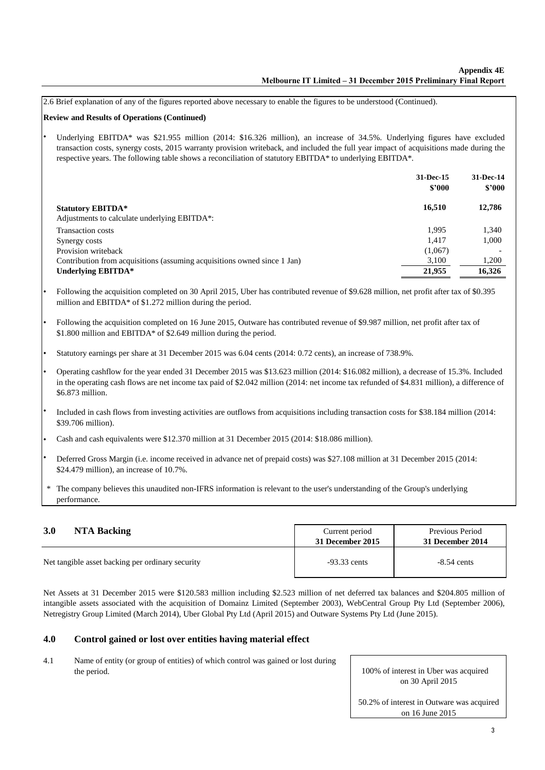2.6 Brief explanation of any of the figures reported above necessary to enable the figures to be understood (Continued).

# **Review and Results of Operations (Continued)**

• Underlying EBITDA\* was \$21.955 million (2014: \$16.326 million), an increase of 34.5%. Underlying figures have excluded transaction costs, synergy costs, 2015 warranty provision writeback, and included the full year impact of acquisitions made during the respective years. The following table shows a reconciliation of statutory EBITDA\* to underlying EBITDA\*.

|                                                                                      | 31-Dec-15<br>\$2000 | 31-Dec-14<br>\$2000 |
|--------------------------------------------------------------------------------------|---------------------|---------------------|
| <b>Statutory EBITDA*</b><br>Adjustments to calculate underlying EBITDA <sup>*:</sup> | 16.510              | 12,786              |
| Transaction costs                                                                    | 1.995               | 1,340               |
| Synergy costs                                                                        | 1.417               | 1,000               |
| Provision writeback                                                                  | (1,067)             |                     |
| Contribution from acquisitions (assuming acquisitions owned since 1 Jan)             | 3,100               | 1,200               |
| Underlying EBITDA*                                                                   | 21,955              | 16,326              |

- Following the acquisition completed on 30 April 2015, Uber has contributed revenue of \$9.628 million, net profit after tax of \$0.395 million and EBITDA\* of \$1.272 million during the period.
- Following the acquisition completed on 16 June 2015, Outware has contributed revenue of \$9.987 million, net profit after tax of \$1.800 million and EBITDA\* of \$2.649 million during the period.
- Statutory earnings per share at 31 December 2015 was 6.04 cents (2014: 0.72 cents), an increase of 738.9%.
- Operating cashflow for the year ended 31 December 2015 was \$13.623 million (2014: \$16.082 million), a decrease of 15.3%. Included in the operating cash flows are net income tax paid of \$2.042 million (2014: net income tax refunded of \$4.831 million), a difference of \$6.873 million.
- Included in cash flows from investing activities are outflows from acquisitions including transaction costs for \$38.184 million (2014: \$39.706 million).
- Cash and cash equivalents were \$12.370 million at 31 December 2015 (2014: \$18.086 million).
- Deferred Gross Margin (i.e. income received in advance net of prepaid costs) was \$27.108 million at 31 December 2015 (2014: \$24.479 million), an increase of 10.7%.
- The company believes this unaudited non-IFRS information is relevant to the user's understanding of the Group's underlying performance. \*

| 3.0                                              | Current period   | Previous Period  |
|--------------------------------------------------|------------------|------------------|
| NTA Backing                                      | 31 December 2015 | 31 December 2014 |
| Net tangible asset backing per ordinary security | $-93.33$ cents   | $-8.54$ cents    |

Net Assets at 31 December 2015 were \$120.583 million including \$2.523 million of net deferred tax balances and \$204.805 million of intangible assets associated with the acquisition of Domainz Limited (September 2003), WebCentral Group Pty Ltd (September 2006), Netregistry Group Limited (March 2014), Uber Global Pty Ltd (April 2015) and Outware Systems Pty Ltd (June 2015).

#### **Control gained or lost over entities having material effect 4.0**

Name of entity (or group of entities) of which control was gained or lost during the period. 4.1

100% of interest in Uber was acquired on 30 April 2015

50.2% of interest in Outware was acquired on 16 June 2015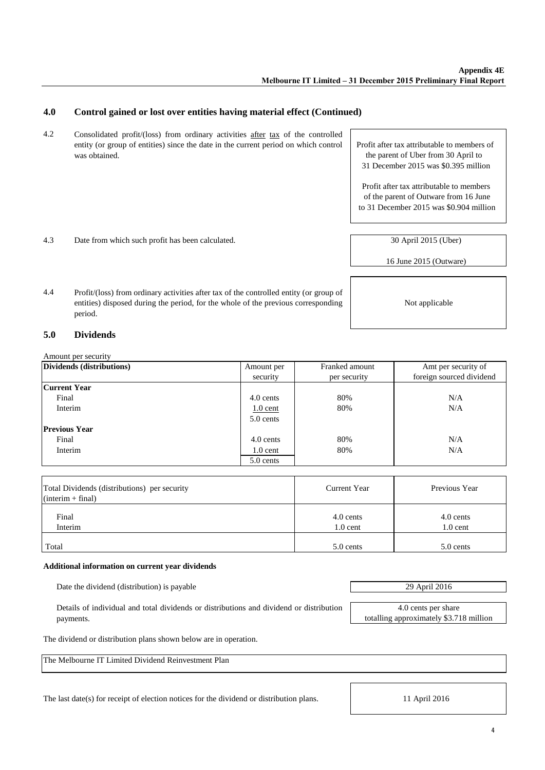#### **Control gained or lost over entities having material effect (Continued) 4.0**

- 4.2 Consolidated profit/(loss) from ordinary activities after tax of the controlled entity (or group of entities) since the date in the current period on which control was obtained.
- 4.3 Date from which such profit has been calculated.

Profit after tax attributable to members of the parent of Uber from 30 April to 31 December 2015 was \$0.395 million

Profit after tax attributable to members of the parent of Outware from 16 June to 31 December 2015 was \$0.904 million

30 April 2015 (Uber)

16 June 2015 (Outware)

4.4 Profit/(loss) from ordinary activities after tax of the controlled entity (or group of entities) disposed during the period, for the whole of the previous corresponding period.

#### **Dividends 5.0**

Amount per security

| Dividends (distributions) | Amount per | Franked amount<br>Amt per security of |                          |
|---------------------------|------------|---------------------------------------|--------------------------|
|                           | security   | per security                          | foreign sourced dividend |
| <b>Current Year</b>       |            |                                       |                          |
| Final                     | 4.0 cents  | 80%                                   | N/A                      |
| Interim                   | $1.0$ cent | 80%                                   | N/A                      |
|                           | 5.0 cents  |                                       |                          |
| <b>Previous Year</b>      |            |                                       |                          |
| Final                     | 4.0 cents  | 80%                                   | N/A                      |
| Interim                   | $1.0$ cent | 80%                                   | N/A                      |
|                           | 5.0 cents  |                                       |                          |

| Total Dividends (distributions) per security<br>$(interim + final)$ | Current Year            | Previous Year           |
|---------------------------------------------------------------------|-------------------------|-------------------------|
| Final<br>Interim                                                    | 4.0 cents<br>$1.0$ cent | 4.0 cents<br>$1.0$ cent |
| Total                                                               | 5.0 cents               | 5.0 cents               |

# **Additional information on current year dividends**

Date the dividend (distribution) is payable 29 April 2016

Details of individual and total dividends or distributions and dividend or distribution payments.

The dividend or distribution plans shown below are in operation.

The Melbourne IT Limited Dividend Reinvestment Plan

The last date(s) for receipt of election notices for the dividend or distribution plans.

totalling approximately \$3.718 million

Not applicable

4.0 cents per share

11 April 2016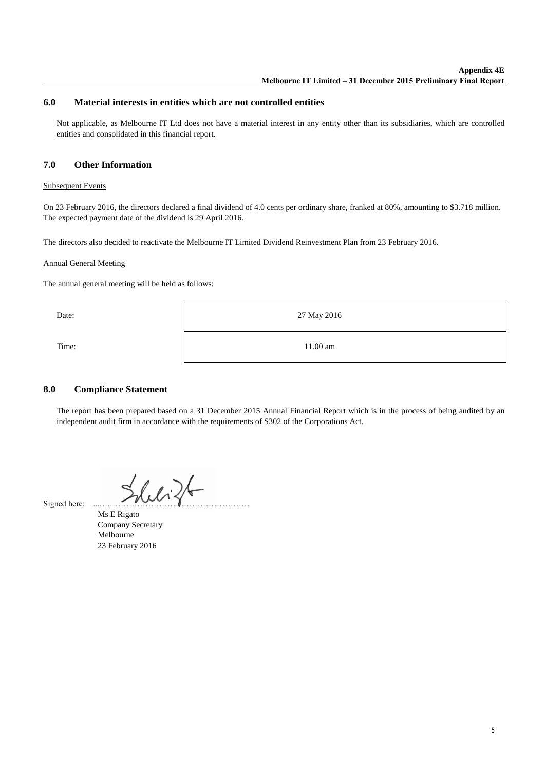# **6.0 Material interests in entities which are not controlled entities**

Not applicable, as Melbourne IT Ltd does not have a material interest in any entity other than its subsidiaries, which are controlled entities and consolidated in this financial report.

#### **Other Information 7.0**

# Subsequent Events

On 23 February 2016, the directors declared a final dividend of 4.0 cents per ordinary share, franked at 80%, amounting to \$3.718 million. The expected payment date of the dividend is 29 April 2016.

The directors also decided to reactivate the Melbourne IT Limited Dividend Reinvestment Plan from 23 February 2016.

# Annual General Meeting

The annual general meeting will be held as follows:

| Date: | 27 May 2016 |
|-------|-------------|
| Time: | 11.00 am    |

#### **Compliance Statement 8.0**

The report has been prepared based on a 31 December 2015 Annual Financial Report which is in the process of being audited by an independent audit firm in accordance with the requirements of S302 of the Corporations Act.

 $26.126$ 

Signed here:

Ms E Rigato Company Secretary Melbourne 23 February 2016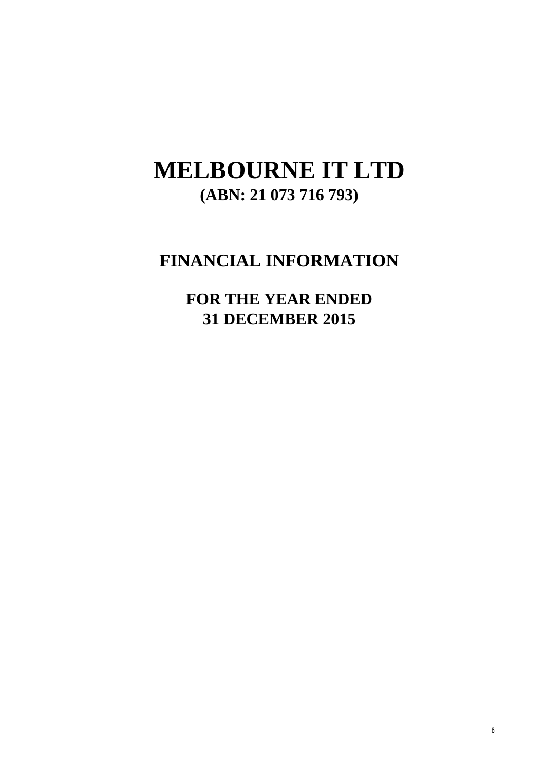# **MELBOURNE IT LTD (ABN: 21 073 716 793)**

# **FINANCIAL INFORMATION**

**FOR THE YEAR ENDED 31 DECEMBER 2015**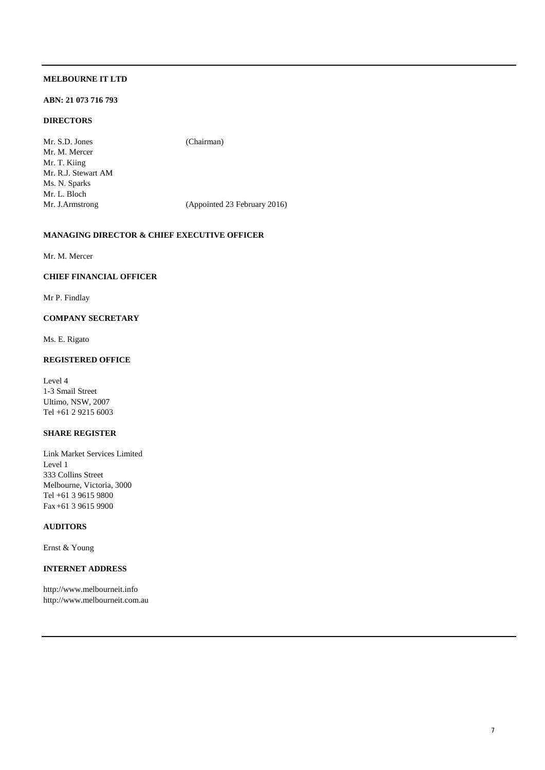# **ABN: 21 073 716 793**

# **DIRECTORS**

Mr. S.D. Jones (Chairman) Mr. M. Mercer Mr. T. Kiing Mr. R.J. Stewart AM Ms. N. Sparks Mr. L. Bloch Mr. J.Armstrong (Appointed 23 February 2016)

# **MANAGING DIRECTOR & CHIEF EXECUTIVE OFFICER**

Mr. M. Mercer

# **CHIEF FINANCIAL OFFICER**

Mr P. Findlay

# **COMPANY SECRETARY**

Ms. E. Rigato

# **REGISTERED OFFICE**

Level 4 1-3 Smail Street Ultimo, NSW, 2007 Tel: +61 2 9215 6003

# **SHARE REGISTER**

Link Market Services Limited Level 1 333 Collins Street Melbourne, Victoria, 3000 Tel: +61 3 9615 9800 Fax:+61 3 9615 9900

# **AUDITORS**

Ernst & Young

# **INTERNET ADDRESS**

http://www.melbourneit.info http://www.melbourneit.com.au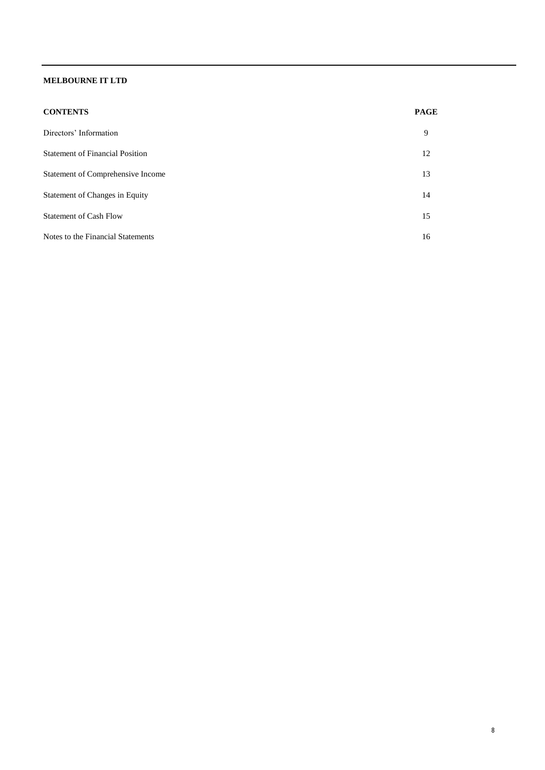| <b>CONTENTS</b> | <b>PAGE</b> |
|-----------------|-------------|
|                 |             |

| Directors' Information                 | 9  |
|----------------------------------------|----|
| <b>Statement of Financial Position</b> | 12 |
| Statement of Comprehensive Income      | 13 |
| Statement of Changes in Equity         | 14 |
| <b>Statement of Cash Flow</b>          | 15 |
| Notes to the Financial Statements      | 16 |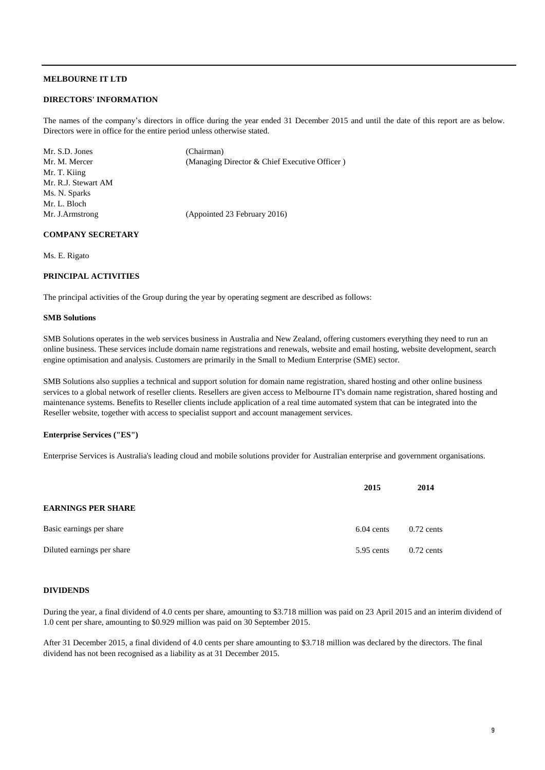#### **DIRECTORS' INFORMATION**

The names of the company's directors in office during the year ended 31 December 2015 and until the date of this report are as below. Directors were in office for the entire period unless otherwise stated.

| Mr. S.D. Jones      | (Chairman)                                    |
|---------------------|-----------------------------------------------|
| Mr. M. Mercer       | (Managing Director & Chief Executive Officer) |
| Mr. T. Kiing        |                                               |
| Mr. R.J. Stewart AM |                                               |
| Ms. N. Sparks       |                                               |
| Mr. L. Bloch        |                                               |
| Mr. J.Armstrong     | (Appointed 23 February 2016)                  |
|                     |                                               |

# **COMPANY SECRETARY**

Ms. E. Rigato

# **PRINCIPAL ACTIVITIES**

The principal activities of the Group during the year by operating segment are described as follows:

# **SMB Solutions**

SMB Solutions operates in the web services business in Australia and New Zealand, offering customers everything they need to run an online business. These services include domain name registrations and renewals, website and email hosting, website development, search engine optimisation and analysis. Customers are primarily in the Small to Medium Enterprise (SME) sector.

SMB Solutions also supplies a technical and support solution for domain name registration, shared hosting and other online business services to a global network of reseller clients. Resellers are given access to Melbourne IT's domain name registration, shared hosting and maintenance systems. Benefits to Reseller clients include application of a real time automated system that can be integrated into the Reseller website, together with access to specialist support and account management services.

# **Enterprise Services ("ES")**

Enterprise Services is Australia's leading cloud and mobile solutions provider for Australian enterprise and government organisations.

|                            | 2015         | 2014         |
|----------------------------|--------------|--------------|
| <b>EARNINGS PER SHARE</b>  |              |              |
| Basic earnings per share   | $6.04$ cents | $0.72$ cents |
| Diluted earnings per share | 5.95 cents   | $0.72$ cents |

#### **DIVIDENDS**

During the year, a final dividend of 4.0 cents per share, amounting to \$3.718 million was paid on 23 April 2015 and an interim dividend of 1.0 cent per share, amounting to \$0.929 million was paid on 30 September 2015.

After 31 December 2015, a final dividend of 4.0 cents per share amounting to \$3.718 million was declared by the directors. The final dividend has not been recognised as a liability as at 31 December 2015.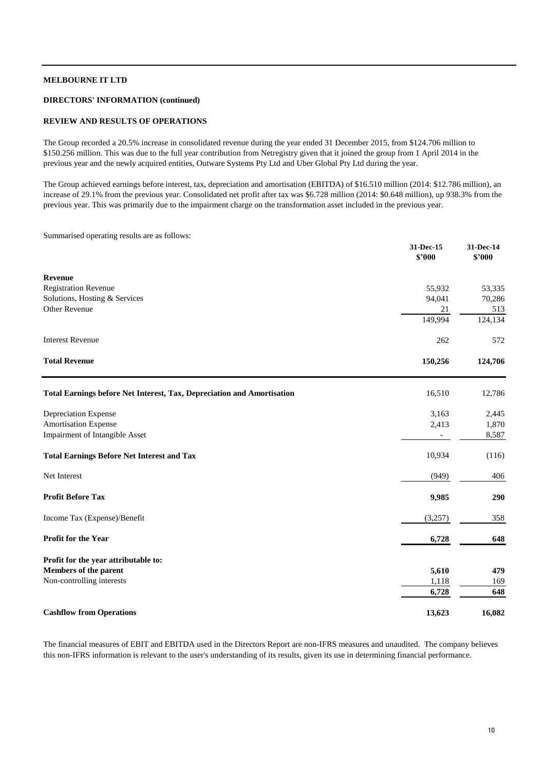# **DIRECTORS' INFORMATION (continued)**

# **REVIEW AND RESULTS OF OPERATIONS**

The Group recorded a 20.5% increase in consolidated revenue during the year ended 31 December 2015, from \$124.706 million to \$150.256 million. This was due to the full year contribution from Netregistry given that it joined the group from 1 April 2014 in the previous year and the newly acquired entities, Outware Systems Pty Ltd and Uber Global Pty Ltd during the year.

The Group achieved earnings before interest, tax, depreciation and amortisation (EBITDA) of \$16.510 million (2014: \$12.786 million), an increase of 29.1% from the previous year. Consolidated net profit after tax was \$6.728 million (2014: \$0.648 million), up 938.3% from the previous year. This was primarily due to the impairment charge on the transformation asset included in the previous year.

Summarised operating results are as follows:

|                                                                        | 31-Dec-15<br>\$'000      | 31-Dec-14<br>\$2000 |
|------------------------------------------------------------------------|--------------------------|---------------------|
| <b>Revenue</b>                                                         |                          |                     |
| <b>Registration Revenue</b>                                            | 55,932                   | 53,335              |
| Solutions, Hosting & Services                                          | 94,041                   | 70,286              |
| Other Revenue                                                          | 21                       | 513                 |
|                                                                        | 149,994                  | 124,134             |
| <b>Interest Revenue</b>                                                | 262                      | 572                 |
| <b>Total Revenue</b>                                                   | 150,256                  | 124,706             |
| Total Earnings before Net Interest, Tax, Depreciation and Amortisation | 16,510                   | 12,786              |
| Depreciation Expense                                                   | 3,163                    | 2,445               |
| <b>Amortisation Expense</b>                                            | 2,413                    | 1,870               |
| Impairment of Intangible Asset                                         | $\overline{\phantom{a}}$ | 8,587               |
| <b>Total Earnings Before Net Interest and Tax</b>                      | 10,934                   | (116)               |
| Net Interest                                                           | (949)                    | 406                 |
| <b>Profit Before Tax</b>                                               | 9,985                    | 290                 |
| Income Tax (Expense)/Benefit                                           | (3,257)                  | 358                 |
| Profit for the Year                                                    | 6,728                    | 648                 |
| Profit for the year attributable to:                                   |                          |                     |
| Members of the parent                                                  | 5,610                    | 479                 |
| Non-controlling interests                                              | 1,118                    | 169                 |
|                                                                        | 6,728                    | 648                 |
| <b>Cashflow from Operations</b>                                        | 13,623                   | 16,082              |

The financial measures of EBIT and EBITDA used in the Directors Report are non-IFRS measures and unaudited. The company believes this non-IFRS information is relevant to the user's understanding of its results, given its use in determining financial performance.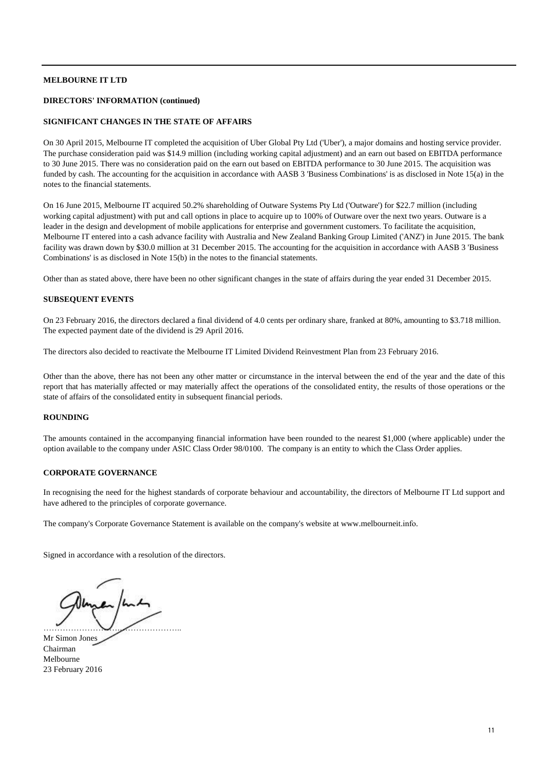# **DIRECTORS' INFORMATION (continued)**

# **SIGNIFICANT CHANGES IN THE STATE OF AFFAIRS**

On 30 April 2015, Melbourne IT completed the acquisition of Uber Global Pty Ltd ('Uber'), a major domains and hosting service provider. The purchase consideration paid was \$14.9 million (including working capital adjustment) and an earn out based on EBITDA performance to 30 June 2015. There was no consideration paid on the earn out based on EBITDA performance to 30 June 2015. The acquisition was funded by cash. The accounting for the acquisition in accordance with AASB 3 'Business Combinations' is as disclosed in Note 15(a) in the notes to the financial statements.

On 16 June 2015, Melbourne IT acquired 50.2% shareholding of Outware Systems Pty Ltd ('Outware') for \$22.7 million (including working capital adjustment) with put and call options in place to acquire up to 100% of Outware over the next two years. Outware is a leader in the design and development of mobile applications for enterprise and government customers. To facilitate the acquisition, Melbourne IT entered into a cash advance facility with Australia and New Zealand Banking Group Limited ('ANZ') in June 2015. The bank facility was drawn down by \$30.0 million at 31 December 2015. The accounting for the acquisition in accordance with AASB 3 'Business Combinations' is as disclosed in Note 15(b) in the notes to the financial statements.

Other than as stated above, there have been no other significant changes in the state of affairs during the year ended 31 December 2015.

# **SUBSEQUENT EVENTS**

On 23 February 2016, the directors declared a final dividend of 4.0 cents per ordinary share, franked at 80%, amounting to \$3.718 million. The expected payment date of the dividend is 29 April 2016.

The directors also decided to reactivate the Melbourne IT Limited Dividend Reinvestment Plan from 23 February 2016.

Other than the above, there has not been any other matter or circumstance in the interval between the end of the year and the date of this report that has materially affected or may materially affect the operations of the consolidated entity, the results of those operations or the state of affairs of the consolidated entity in subsequent financial periods.

# **ROUNDING**

The amounts contained in the accompanying financial information have been rounded to the nearest \$1,000 (where applicable) under the option available to the company under ASIC Class Order 98/0100. The company is an entity to which the Class Order applies.

## **CORPORATE GOVERNANCE**

In recognising the need for the highest standards of corporate behaviour and accountability, the directors of Melbourne IT Ltd support and have adhered to the principles of corporate governance.

The company's Corporate Governance Statement is available on the company's website at www.melbourneit.info.

Signed in accordance with a resolution of the directors.

……………………….…………………..

Mr Simon Jones Chairman Melbourne 23 February 2016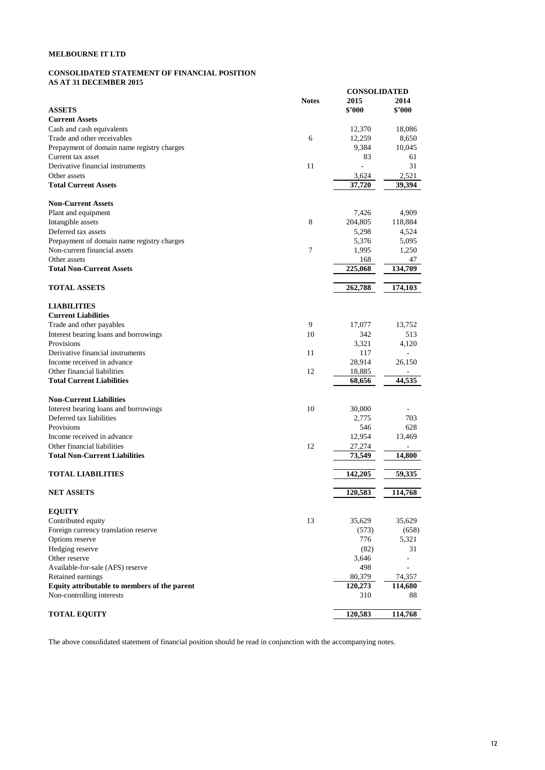# **CONSOLIDATED STATEMENT OF FINANCIAL POSITION AS AT 31 DECEMBER 2015**

|                                              |                | <b>CONSOLIDATED</b> |         |
|----------------------------------------------|----------------|---------------------|---------|
|                                              | <b>Notes</b>   | 2015                | 2014    |
| <b>ASSETS</b>                                |                | \$'000              | \$'000  |
| <b>Current Assets</b>                        |                |                     |         |
| Cash and cash equivalents                    |                | 12,370              | 18,086  |
| Trade and other receivables                  | 6              | 12,259              | 8,650   |
| Prepayment of domain name registry charges   |                | 9,384               | 10,045  |
| Current tax asset                            |                | 83                  | 61      |
| Derivative financial instruments             | 11             |                     | 31      |
| Other assets                                 |                | 3,624               | 2,521   |
| <b>Total Current Assets</b>                  |                | 37,720              | 39,394  |
| <b>Non-Current Assets</b>                    |                |                     |         |
| Plant and equipment                          |                | 7,426               | 4,909   |
| Intangible assets                            | 8              | 204,805             | 118,884 |
| Deferred tax assets                          |                | 5,298               | 4,524   |
|                                              |                |                     |         |
| Prepayment of domain name registry charges   |                | 5,376               | 5,095   |
| Non-current financial assets                 | $\overline{7}$ | 1,995               | 1,250   |
| Other assets                                 |                | 168                 | 47      |
| <b>Total Non-Current Assets</b>              |                | 225,068             | 134,709 |
| <b>TOTAL ASSETS</b>                          |                | 262,788             | 174,103 |
| <b>LIABILITIES</b>                           |                |                     |         |
| <b>Current Liabilities</b>                   |                |                     |         |
| Trade and other payables                     | 9              | 17,077              | 13,752  |
| Interest bearing loans and borrowings        | 10             | 342                 | 513     |
| Provisions                                   |                | 3,321               | 4,120   |
| Derivative financial instruments             | 11             | 117                 |         |
| Income received in advance                   |                |                     |         |
|                                              |                | 28,914              | 26,150  |
| Other financial liabilities                  | 12             | 18,885              |         |
| <b>Total Current Liabilities</b>             |                | 68,656              | 44,535  |
| <b>Non-Current Liabilities</b>               |                |                     |         |
| Interest bearing loans and borrowings        | 10             | 30,000              |         |
| Deferred tax liabilities                     |                | 2,775               | 703     |
| Provisions                                   |                | 546                 | 628     |
| Income received in advance                   |                | 12,954              | 13,469  |
| Other financial liabilities                  | 12             | 27,274              |         |
| <b>Total Non-Current Liabilities</b>         |                | 73,549              | 14,800  |
|                                              |                |                     |         |
| <b>TOTAL LIABILITIES</b>                     |                | 142,205             | 59,335  |
| <b>NET ASSETS</b>                            |                | 120,583             | 114,768 |
| <b>EQUITY</b>                                |                |                     |         |
| Contributed equity                           | 13             | 35,629              | 35,629  |
| Foreign currency translation reserve         |                | (573)               | (658)   |
| Options reserve                              |                | 776                 | 5,321   |
| Hedging reserve                              |                | (82)                | 31      |
| Other reserve                                |                | 3,646               |         |
| Available-for-sale (AFS) reserve             |                | 498                 |         |
|                                              |                |                     |         |
| Retained earnings                            |                | 80,379              | 74,357  |
| Equity attributable to members of the parent |                | 120,273             | 114,680 |
| Non-controlling interests                    |                | 310                 | 88      |
| <b>TOTAL EQUITY</b>                          |                | 120,583             | 114,768 |

The above consolidated statement of financial position should be read in conjunction with the accompanying notes.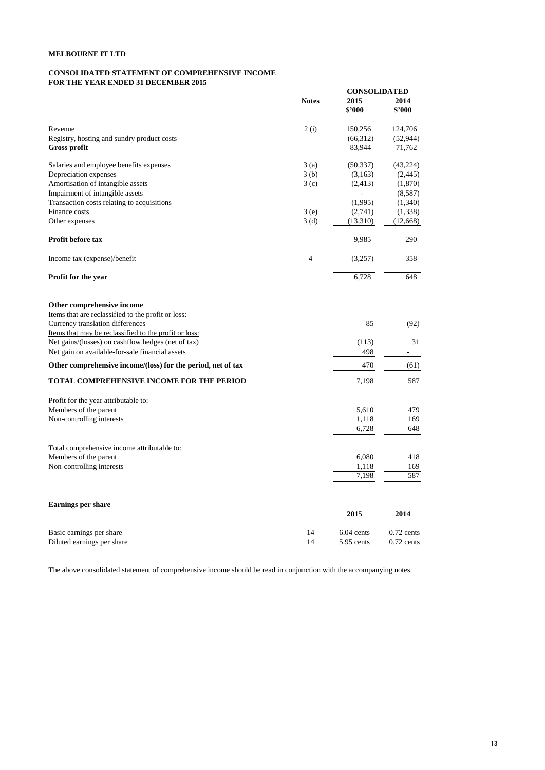#### **CONSOLIDATED STATEMENT OF COMPREHENSIVE INCOME FOR THE YEAR ENDED 31 DECEMBER 2015**

|                                                              |                |              | <b>CONSOLIDATED</b> |  |
|--------------------------------------------------------------|----------------|--------------|---------------------|--|
|                                                              | <b>Notes</b>   | 2015         | 2014                |  |
|                                                              |                | \$'000       | \$'000              |  |
| Revenue                                                      | 2(i)           | 150,256      | 124,706             |  |
| Registry, hosting and sundry product costs                   |                | (66,312)     | (52, 944)           |  |
| <b>Gross profit</b>                                          |                | 83,944       | 71,762              |  |
| Salaries and employee benefits expenses                      | 3(a)           | (50, 337)    | (43, 224)           |  |
| Depreciation expenses                                        | 3(b)           | (3,163)      | (2, 445)            |  |
| Amortisation of intangible assets                            | 3(c)           | (2, 413)     | (1,870)             |  |
| Impairment of intangible assets                              |                |              | (8,587)             |  |
| Transaction costs relating to acquisitions                   |                | (1,995)      | (1,340)             |  |
| Finance costs                                                | 3(e)           | (2,741)      | (1, 338)            |  |
| Other expenses                                               | 3(d)           | (13,310)     | (12, 668)           |  |
| Profit before tax                                            |                | 9,985        | 290                 |  |
| Income tax (expense)/benefit                                 | $\overline{4}$ | (3,257)      | 358                 |  |
| <b>Profit for the year</b>                                   |                | 6,728        | 648                 |  |
| Other comprehensive income                                   |                |              |                     |  |
| Items that are reclassified to the profit or loss:           |                |              |                     |  |
| Currency translation differences                             |                | 85           | (92)                |  |
| Items that may be reclassified to the profit or loss:        |                |              |                     |  |
| Net gains/(losses) on cashflow hedges (net of tax)           |                | (113)        | 31                  |  |
| Net gain on available-for-sale financial assets              |                | 498          |                     |  |
| Other comprehensive income/(loss) for the period, net of tax |                | 470          | (61)                |  |
| TOTAL COMPREHENSIVE INCOME FOR THE PERIOD                    |                | 7,198        | 587                 |  |
| Profit for the year attributable to:                         |                |              |                     |  |
| Members of the parent                                        |                | 5,610        | 479                 |  |
| Non-controlling interests                                    |                | 1,118        | 169                 |  |
|                                                              |                | 6,728        | 648                 |  |
| Total comprehensive income attributable to:                  |                |              |                     |  |
| Members of the parent                                        |                | 6,080        | 418                 |  |
| Non-controlling interests                                    |                | 1,118        | 169                 |  |
|                                                              |                | 7,198        | 587                 |  |
|                                                              |                |              |                     |  |
| <b>Earnings per share</b>                                    |                | 2015         | 2014                |  |
| Basic earnings per share                                     | 14             | $6.04$ cents | $0.72$ cents        |  |
| Diluted earnings per share                                   | 14             | 5.95 cents   | $0.72$ cents        |  |

The above consolidated statement of comprehensive income should be read in conjunction with the accompanying notes.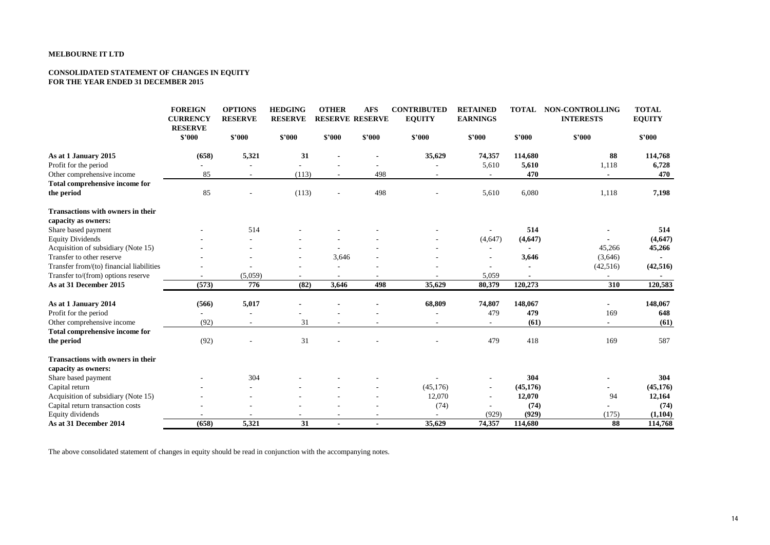#### **CONSOLIDATED STATEMENT OF CHANGES IN EQUITY FOR THE YEAR ENDED 31 DECEMBER 2015**

|                                          | <b>FOREIGN</b><br><b>CURRENCY</b><br><b>RESERVE</b> | <b>OPTIONS</b><br><b>RESERVE</b> | <b>HEDGING</b><br><b>RESERVE</b> | <b>OTHER</b><br><b>RESERVE RESERVE</b> | <b>AFS</b> | <b>CONTRIBUTED</b><br><b>EQUITY</b> | <b>RETAINED</b><br><b>EARNINGS</b> | TOTAL     | NON-CONTROLLING<br><b>INTERESTS</b> | <b>TOTAL</b><br><b>EQUITY</b> |
|------------------------------------------|-----------------------------------------------------|----------------------------------|----------------------------------|----------------------------------------|------------|-------------------------------------|------------------------------------|-----------|-------------------------------------|-------------------------------|
|                                          | \$2000                                              | \$2000                           | \$2000                           | \$2000                                 | \$3000     | \$'000                              | \$'000                             | \$'000    | \$2000                              | \$3000                        |
| As at 1 January 2015                     | (658)                                               | 5,321                            | 31                               |                                        |            | 35,629                              | 74,357                             | 114,680   | 88                                  | 114,768                       |
| Profit for the period                    |                                                     |                                  |                                  |                                        |            |                                     | 5,610                              | 5,610     | 1,118                               | 6,728                         |
| Other comprehensive income               | 85                                                  |                                  | (113)                            |                                        | 498        |                                     |                                    | 470       |                                     | 470                           |
| Total comprehensive income for           |                                                     |                                  |                                  |                                        |            |                                     |                                    |           |                                     |                               |
| the period                               | 85                                                  |                                  | (113)                            | $\overline{\phantom{a}}$               | 498        |                                     | 5,610                              | 6,080     | 1,118                               | 7,198                         |
| <b>Transactions with owners in their</b> |                                                     |                                  |                                  |                                        |            |                                     |                                    |           |                                     |                               |
| capacity as owners:                      |                                                     |                                  |                                  |                                        |            |                                     |                                    |           |                                     |                               |
| Share based payment                      |                                                     | 514                              |                                  |                                        |            |                                     |                                    | 514       |                                     | 514                           |
| <b>Equity Dividends</b>                  |                                                     |                                  |                                  |                                        |            |                                     | (4, 647)                           | (4, 647)  |                                     | (4, 647)                      |
| Acquisition of subsidiary (Note 15)      |                                                     |                                  |                                  |                                        |            |                                     |                                    |           | 45,266                              | 45,266                        |
| Transfer to other reserve                |                                                     |                                  |                                  | 3,646                                  |            |                                     |                                    | 3,646     | (3,646)                             |                               |
| Transfer from/(to) financial liabilities |                                                     |                                  |                                  |                                        |            |                                     |                                    |           | (42, 516)                           | (42, 516)                     |
| Transfer to/(from) options reserve       |                                                     | (5,059)                          |                                  |                                        |            |                                     | 5,059                              |           |                                     |                               |
| As at 31 December 2015                   | (573)                                               | 776                              | (82)                             | 3,646                                  | 498        | 35,629                              | 80,379                             | 120,273   | 310                                 | 120,583                       |
| As at 1 January 2014                     | (566)                                               | 5,017                            |                                  |                                        |            | 68,809                              | 74,807                             | 148,067   |                                     | 148,067                       |
| Profit for the period                    |                                                     | $\overline{a}$                   |                                  |                                        |            |                                     | 479                                | 479       | 169                                 | 648                           |
| Other comprehensive income               | (92)                                                | $\sim$                           | 31                               |                                        | $\sim$     | $\sim$                              | $\sim$                             | (61)      | $\overline{\phantom{a}}$            | (61)                          |
| Total comprehensive income for           |                                                     |                                  |                                  |                                        |            |                                     |                                    |           |                                     |                               |
| the period                               | (92)                                                |                                  | 31                               |                                        |            |                                     | 479                                | 418       | 169                                 | 587                           |
| Transactions with owners in their        |                                                     |                                  |                                  |                                        |            |                                     |                                    |           |                                     |                               |
| capacity as owners:                      |                                                     |                                  |                                  |                                        |            |                                     |                                    |           |                                     |                               |
| Share based payment                      |                                                     | 304                              |                                  |                                        |            |                                     |                                    | 304       |                                     | 304                           |
| Capital return                           |                                                     |                                  |                                  |                                        |            | (45, 176)                           | $\overline{\phantom{a}}$           | (45, 176) |                                     | (45, 176)                     |
| Acquisition of subsidiary (Note 15)      |                                                     |                                  |                                  |                                        |            | 12,070                              | $\sim$                             | 12,070    | 94                                  | 12,164                        |
| Capital return transaction costs         |                                                     |                                  |                                  |                                        |            | (74)                                |                                    | (74)      |                                     | (74)                          |
| Equity dividends                         |                                                     |                                  |                                  |                                        |            |                                     | (929)                              | (929)     | (175)                               | (1, 104)                      |
| As at 31 December 2014                   | (658)                                               | 5,321                            | 31                               |                                        |            | 35,629                              | 74,357                             | 114,680   | 88                                  | 114,768                       |

The above consolidated statement of changes in equity should be read in conjunction with the accompanying notes.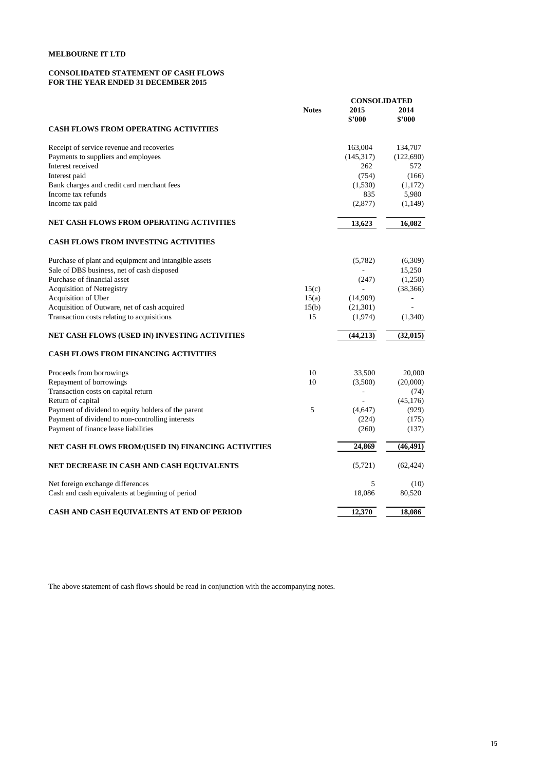#### **CONSOLIDATED STATEMENT OF CASH FLOWS FOR THE YEAR ENDED 31 DECEMBER 2015**

|                                                       |              |            | <b>CONSOLIDATED</b> |  |
|-------------------------------------------------------|--------------|------------|---------------------|--|
|                                                       | <b>Notes</b> | 2015       | 2014                |  |
|                                                       |              | \$'000     | \$'000              |  |
| <b>CASH FLOWS FROM OPERATING ACTIVITIES</b>           |              |            |                     |  |
| Receipt of service revenue and recoveries             |              | 163,004    | 134,707             |  |
| Payments to suppliers and employees                   |              | (145, 317) | (122, 690)          |  |
| Interest received                                     |              | 262        | 572                 |  |
| Interest paid                                         |              | (754)      | (166)               |  |
| Bank charges and credit card merchant fees            |              | (1,530)    | (1,172)             |  |
| Income tax refunds                                    |              | 835        | 5,980               |  |
| Income tax paid                                       |              | (2,877)    | (1,149)             |  |
| NET CASH FLOWS FROM OPERATING ACTIVITIES              |              | 13,623     | 16,082              |  |
| <b>CASH FLOWS FROM INVESTING ACTIVITIES</b>           |              |            |                     |  |
| Purchase of plant and equipment and intangible assets |              | (5,782)    | (6,309)             |  |
| Sale of DBS business, net of cash disposed            |              |            | 15,250              |  |
| Purchase of financial asset                           |              | (247)      | (1,250)             |  |
| <b>Acquisition of Netregistry</b>                     | 15(c)        |            | (38, 366)           |  |
| Acquisition of Uber                                   | 15(a)        | (14,909)   |                     |  |
| Acquisition of Outware, net of cash acquired          | 15(b)        | (21,301)   |                     |  |
| Transaction costs relating to acquisitions            | 15           | (1,974)    | (1,340)             |  |
| NET CASH FLOWS (USED IN) INVESTING ACTIVITIES         |              | (44,213)   | (32, 015)           |  |
| <b>CASH FLOWS FROM FINANCING ACTIVITIES</b>           |              |            |                     |  |
| Proceeds from borrowings                              | 10           | 33,500     | 20,000              |  |
| Repayment of borrowings                               | 10           | (3,500)    | (20,000)            |  |
| Transaction costs on capital return                   |              | ÷          | (74)                |  |
| Return of capital                                     |              |            | (45, 176)           |  |
| Payment of dividend to equity holders of the parent   | 5            | (4,647)    | (929)               |  |
| Payment of dividend to non-controlling interests      |              | (224)      | (175)               |  |
| Payment of finance lease liabilities                  |              | (260)      | (137)               |  |
| NET CASH FLOWS FROM/(USED IN) FINANCING ACTIVITIES    |              | 24,869     | (46, 491)           |  |
| NET DECREASE IN CASH AND CASH EQUIVALENTS             |              | (5, 721)   | (62, 424)           |  |
| Net foreign exchange differences                      |              | 5          | (10)                |  |
| Cash and cash equivalents at beginning of period      |              | 18,086     | 80,520              |  |
| CASH AND CASH EQUIVALENTS AT END OF PERIOD            |              | 12,370     | 18,086              |  |

The above statement of cash flows should be read in conjunction with the accompanying notes.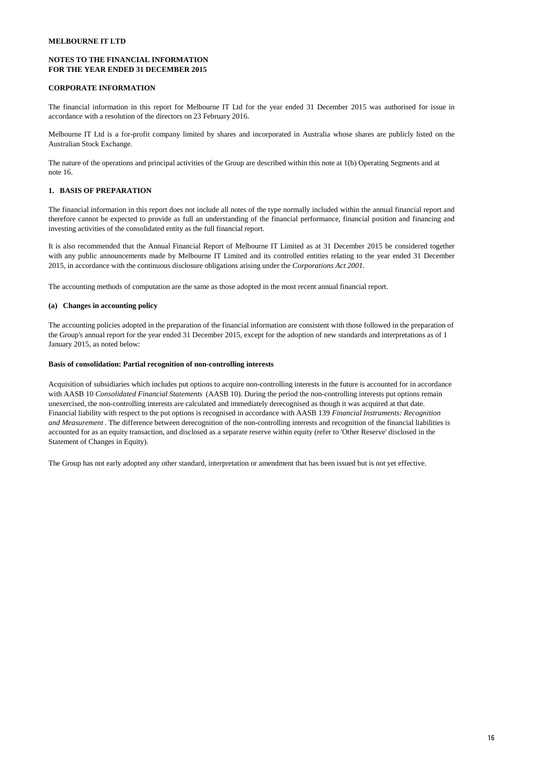# **NOTES TO THE FINANCIAL INFORMATION FOR THE YEAR ENDED 31 DECEMBER 2015**

# **CORPORATE INFORMATION**

The financial information in this report for Melbourne IT Ltd for the year ended 31 December 2015 was authorised for issue in accordance with a resolution of the directors on 23 February 2016.

Melbourne IT Ltd is a for-profit company limited by shares and incorporated in Australia whose shares are publicly listed on the Australian Stock Exchange.

The nature of the operations and principal activities of the Group are described within this note at 1(b) Operating Segments and at note 16.

# **1. BASIS OF PREPARATION**

The financial information in this report does not include all notes of the type normally included within the annual financial report and therefore cannot be expected to provide as full an understanding of the financial performance, financial position and financing and investing activities of the consolidated entity as the full financial report.

It is also recommended that the Annual Financial Report of Melbourne IT Limited as at 31 December 2015 be considered together with any public announcements made by Melbourne IT Limited and its controlled entities relating to the year ended 31 December 2015, in accordance with the continuous disclosure obligations arising under the *Corporations Act 2001.*

The accounting methods of computation are the same as those adopted in the most recent annual financial report.

# **(a) Changes in accounting policy**

The accounting policies adopted in the preparation of the financial information are consistent with those followed in the preparation of the Group's annual report for the year ended 31 December 2015, except for the adoption of new standards and interpretations as of 1 January 2015, as noted below:

#### **Basis of consolidation: Partial recognition of non-controlling interests**

Acquisition of subsidiaries which includes put options to acquire non-controlling interests in the future is accounted for in accordance with AASB 10 *Consolidated Financial Statements* (AASB 10). During the period the non-controlling interests put options remain unexercised, the non-controlling interests are calculated and immediately derecognised as though it was acquired at that date. Financial liability with respect to the put options is recognised in accordance with AASB 139 *Financial Instruments: Recognition and Measurement* . The difference between derecognition of the non-controlling interests and recognition of the financial liabilities is accounted for as an equity transaction, and disclosed as a separate reserve within equity (refer to 'Other Reserve' disclosed in the Statement of Changes in Equity).

The Group has not early adopted any other standard, interpretation or amendment that has been issued but is not yet effective.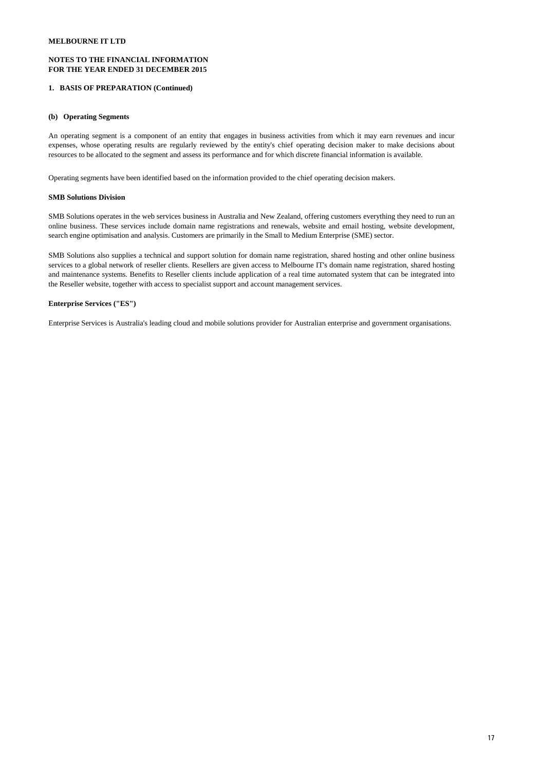# **NOTES TO THE FINANCIAL INFORMATION FOR THE YEAR ENDED 31 DECEMBER 2015**

# **1. BASIS OF PREPARATION (Continued)**

## **(b) Operating Segments**

An operating segment is a component of an entity that engages in business activities from which it may earn revenues and incur expenses, whose operating results are regularly reviewed by the entity's chief operating decision maker to make decisions about resources to be allocated to the segment and assess its performance and for which discrete financial information is available.

Operating segments have been identified based on the information provided to the chief operating decision makers.

#### **SMB Solutions Division**

SMB Solutions operates in the web services business in Australia and New Zealand, offering customers everything they need to run an online business. These services include domain name registrations and renewals, website and email hosting, website development, search engine optimisation and analysis. Customers are primarily in the Small to Medium Enterprise (SME) sector.

SMB Solutions also supplies a technical and support solution for domain name registration, shared hosting and other online business services to a global network of reseller clients. Resellers are given access to Melbourne IT's domain name registration, shared hosting and maintenance systems. Benefits to Reseller clients include application of a real time automated system that can be integrated into the Reseller website, together with access to specialist support and account management services.

# **Enterprise Services ("ES")**

Enterprise Services is Australia's leading cloud and mobile solutions provider for Australian enterprise and government organisations.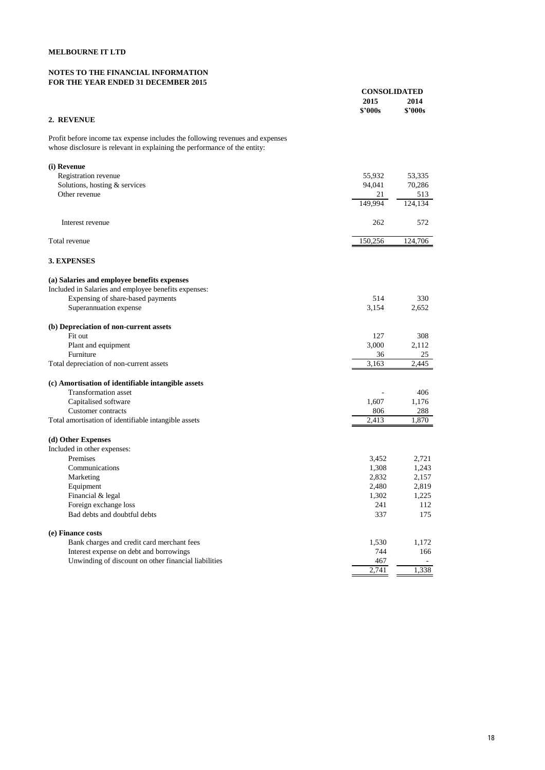# **NOTES TO THE FINANCIAL INFORMATION FOR THE YEAR ENDED 31 DECEMBER 2015**

|                                                                                                                                                            | <b>CONSOLIDATED</b>   |                 |
|------------------------------------------------------------------------------------------------------------------------------------------------------------|-----------------------|-----------------|
|                                                                                                                                                            | 2015<br><b>S'000s</b> | 2014<br>\$'000s |
| 2. REVENUE                                                                                                                                                 |                       |                 |
|                                                                                                                                                            |                       |                 |
| Profit before income tax expense includes the following revenues and expenses<br>whose disclosure is relevant in explaining the performance of the entity: |                       |                 |
| (i) Revenue                                                                                                                                                |                       |                 |
| Registration revenue                                                                                                                                       | 55,932                | 53,335          |
| Solutions, hosting & services                                                                                                                              | 94,041                | 70,286          |
| Other revenue                                                                                                                                              | 21<br>149,994         | 513             |
|                                                                                                                                                            |                       | 124,134         |
| Interest revenue                                                                                                                                           | 262                   | 572             |
| Total revenue                                                                                                                                              | 150,256               | 124,706         |
|                                                                                                                                                            |                       |                 |
| 3. EXPENSES                                                                                                                                                |                       |                 |
| (a) Salaries and employee benefits expenses                                                                                                                |                       |                 |
| Included in Salaries and employee benefits expenses:                                                                                                       |                       |                 |
| Expensing of share-based payments                                                                                                                          | 514                   | 330             |
| Superannuation expense                                                                                                                                     | 3,154                 | 2,652           |
| (b) Depreciation of non-current assets                                                                                                                     |                       |                 |
| Fit out                                                                                                                                                    | 127                   | 308             |
| Plant and equipment                                                                                                                                        | 3,000                 | 2,112           |
| Furniture                                                                                                                                                  | 36                    | 25              |
| Total depreciation of non-current assets                                                                                                                   | 3,163                 | 2,445           |
| (c) Amortisation of identifiable intangible assets                                                                                                         |                       |                 |
| <b>Transformation</b> asset                                                                                                                                |                       | 406             |
| Capitalised software                                                                                                                                       | 1,607                 | 1,176           |
| Customer contracts                                                                                                                                         | 806                   | 288             |
| Total amortisation of identifiable intangible assets                                                                                                       | 2,413                 | 1,870           |
| (d) Other Expenses                                                                                                                                         |                       |                 |
| Included in other expenses:                                                                                                                                |                       |                 |
| Premises                                                                                                                                                   | 3,452                 | 2,721           |
| Communications                                                                                                                                             | 1,308                 | 1,243           |
| Marketing                                                                                                                                                  | 2,832                 | 2,157           |
| Equipment                                                                                                                                                  | 2,480                 | 2,819           |
| Financial & legal                                                                                                                                          | 1,302                 | 1,225           |
| Foreign exchange loss                                                                                                                                      | 241                   | 112             |
| Bad debts and doubtful debts                                                                                                                               | 337                   | 175             |
| (e) Finance costs                                                                                                                                          |                       |                 |
| Bank charges and credit card merchant fees                                                                                                                 | 1,530                 | 1,172           |
| Interest expense on debt and borrowings                                                                                                                    | 744                   | 166             |
| Unwinding of discount on other financial liabilities                                                                                                       | 467                   |                 |
|                                                                                                                                                            | 2,741                 | 1,338           |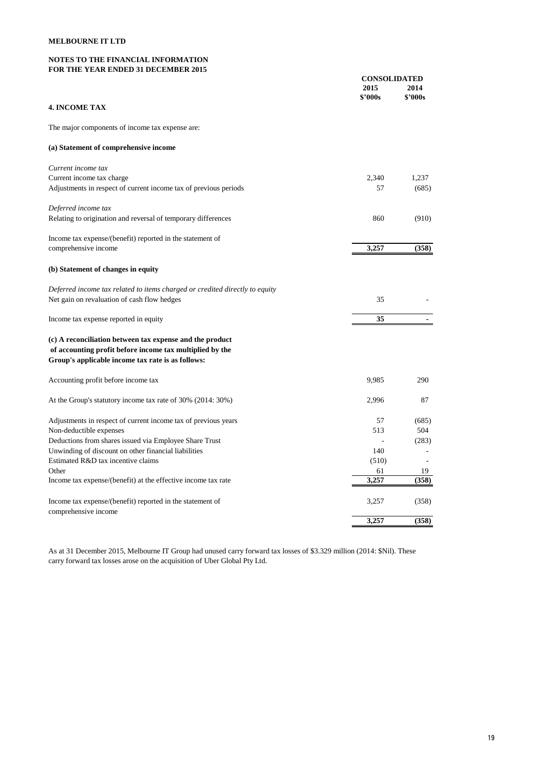# **NOTES TO THE FINANCIAL INFORMATION FOR THE YEAR ENDED 31 DECEMBER 2015**

|                                                                                   | <b>CONSOLIDATED</b> |                 |
|-----------------------------------------------------------------------------------|---------------------|-----------------|
|                                                                                   | 2015<br>\$2000s     | 2014<br>\$'000s |
| <b>4. INCOME TAX</b>                                                              |                     |                 |
|                                                                                   |                     |                 |
| The major components of income tax expense are:                                   |                     |                 |
| (a) Statement of comprehensive income                                             |                     |                 |
| Current income tax                                                                |                     |                 |
| Current income tax charge                                                         | 2,340               | 1.237           |
| Adjustments in respect of current income tax of previous periods                  | 57                  | (685)           |
| Deferred income tax                                                               |                     |                 |
| Relating to origination and reversal of temporary differences                     | 860                 | (910)           |
| Income tax expense/(benefit) reported in the statement of                         |                     |                 |
| comprehensive income                                                              | 3,257               | (358)           |
| (b) Statement of changes in equity                                                |                     |                 |
| Deferred income tax related to items charged or credited directly to equity       |                     |                 |
| Net gain on revaluation of cash flow hedges                                       | 35                  |                 |
| Income tax expense reported in equity                                             | 35                  |                 |
| (c) A reconciliation between tax expense and the product                          |                     |                 |
| of accounting profit before income tax multiplied by the                          |                     |                 |
| Group's applicable income tax rate is as follows:                                 |                     |                 |
| Accounting profit before income tax                                               | 9,985               | 290             |
| At the Group's statutory income tax rate of 30% (2014: 30%)                       | 2,996               | 87              |
| Adjustments in respect of current income tax of previous years                    | 57                  | (685)           |
| Non-deductible expenses                                                           | 513                 | 504             |
| Deductions from shares issued via Employee Share Trust                            |                     | (283)           |
| Unwinding of discount on other financial liabilities                              | 140                 |                 |
| Estimated R&D tax incentive claims                                                | (510)               |                 |
| Other                                                                             | 61                  | 19              |
| Income tax expense/(benefit) at the effective income tax rate                     | 3,257               | (358)           |
| Income tax expense/(benefit) reported in the statement of<br>comprehensive income | 3,257               | (358)           |
|                                                                                   | 3,257               | (358)           |

As at 31 December 2015, Melbourne IT Group had unused carry forward tax losses of \$3.329 million (2014: \$Nil). These carry forward tax losses arose on the acquisition of Uber Global Pty Ltd.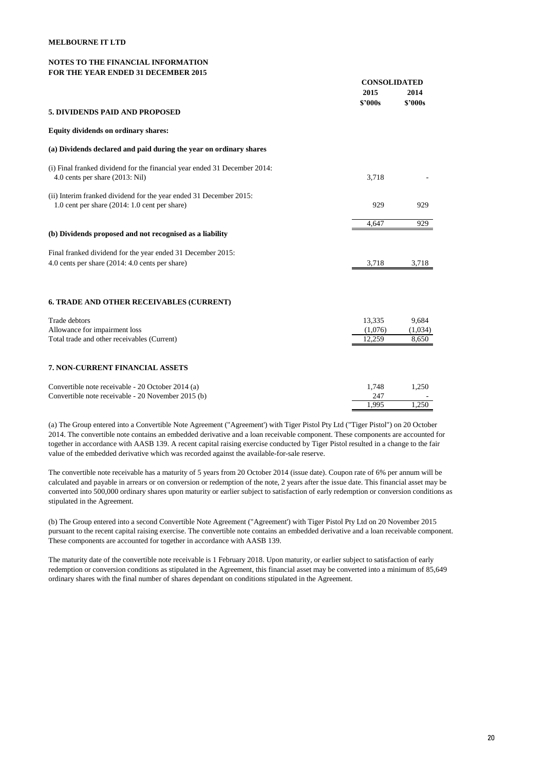#### **NOTES TO THE FINANCIAL INFORMATION FOR THE YEAR ENDED 31 DECEMBER 2015**

|                                                                                                                       | <b>CONSOLIDATED</b> |                 |
|-----------------------------------------------------------------------------------------------------------------------|---------------------|-----------------|
|                                                                                                                       | 2015<br>\$'000s     | 2014<br>\$'000s |
| 5. DIVIDENDS PAID AND PROPOSED                                                                                        |                     |                 |
| Equity dividends on ordinary shares:                                                                                  |                     |                 |
| (a) Dividends declared and paid during the year on ordinary shares                                                    |                     |                 |
| (i) Final franked dividend for the financial year ended 31 December 2014:<br>4.0 cents per share (2013: Nil)          | 3.718               |                 |
| (ii) Interim franked dividend for the year ended 31 December 2015:<br>1.0 cent per share $(2014: 1.0$ cent per share) | 929                 | 929             |
|                                                                                                                       | 4,647               | 929             |
| (b) Dividends proposed and not recognised as a liability                                                              |                     |                 |
| Final franked dividend for the year ended 31 December 2015:                                                           |                     |                 |
| 4.0 cents per share $(2014: 4.0 \text{ cents per share})$                                                             | 3,718               | 3,718           |
| <b>6. TRADE AND OTHER RECEIVABLES (CURRENT)</b>                                                                       |                     |                 |
| Trade debtors                                                                                                         | 13,335              | 9,684           |
| Allowance for impairment loss                                                                                         | (1,076)             | (1,034)         |
| Total trade and other receivables (Current)                                                                           | 12,259              | 8,650           |
| 7. NON-CURRENT FINANCIAL ASSETS                                                                                       |                     |                 |
| Convertible note receivable - 20 October 2014 (a)                                                                     | 1,748               | 1,250           |
| Convertible note receivable - 20 November 2015 (b)                                                                    | 247                 |                 |
|                                                                                                                       | 1.995               | 1.250           |

(a) The Group entered into a Convertible Note Agreement ("Agreement') with Tiger Pistol Pty Ltd ("Tiger Pistol") on 20 October 2014. The convertible note contains an embedded derivative and a loan receivable component. These components are accounted for together in accordance with AASB 139. A recent capital raising exercise conducted by Tiger Pistol resulted in a change to the fair value of the embedded derivative which was recorded against the available-for-sale reserve.

The convertible note receivable has a maturity of 5 years from 20 October 2014 (issue date). Coupon rate of 6% per annum will be calculated and payable in arrears or on conversion or redemption of the note, 2 years after the issue date. This financial asset may be converted into 500,000 ordinary shares upon maturity or earlier subject to satisfaction of early redemption or conversion conditions as stipulated in the Agreement.

(b) The Group entered into a second Convertible Note Agreement ("Agreement') with Tiger Pistol Pty Ltd on 20 November 2015 pursuant to the recent capital raising exercise. The convertible note contains an embedded derivative and a loan receivable component. These components are accounted for together in accordance with AASB 139.

The maturity date of the convertible note receivable is 1 February 2018. Upon maturity, or earlier subject to satisfaction of early redemption or conversion conditions as stipulated in the Agreement, this financial asset may be converted into a minimum of 85,649 ordinary shares with the final number of shares dependant on conditions stipulated in the Agreement.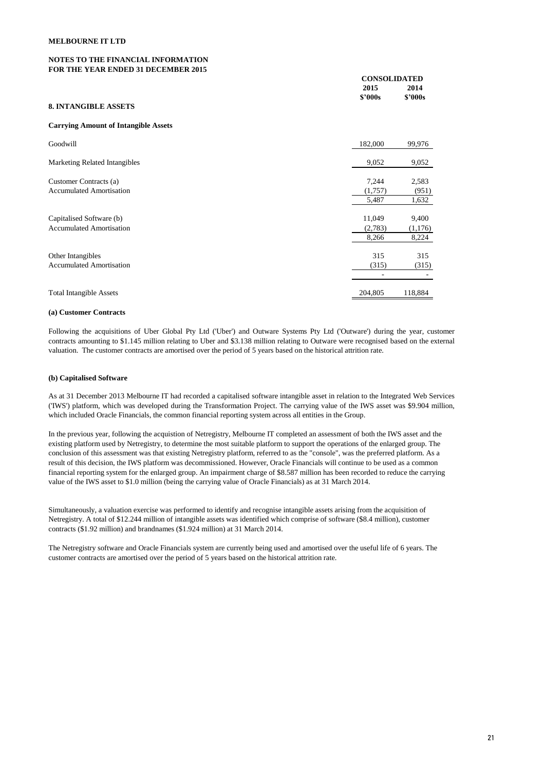# **NOTES TO THE FINANCIAL INFORMATION FOR THE YEAR ENDED 31 DECEMBER 2015**

| FOR THE TEAR ENDED 31 DECEMBER 2013 |         |                     |  |
|-------------------------------------|---------|---------------------|--|
|                                     |         | <b>CONSOLIDATED</b> |  |
|                                     | 2015    | 2014                |  |
|                                     | \$2000s | \$'000s             |  |
| 8. INTANGIBLE ASSETS                |         |                     |  |

#### **Carrying Amount of Intangible Assets**

| Goodwill                             | 182,000 | 99,976  |
|--------------------------------------|---------|---------|
| <b>Marketing Related Intangibles</b> | 9,052   | 9,052   |
| Customer Contracts (a)               | 7,244   | 2,583   |
| <b>Accumulated Amortisation</b>      | (1,757) | (951)   |
|                                      | 5,487   | 1,632   |
| Capitalised Software (b)             | 11,049  | 9,400   |
| <b>Accumulated Amortisation</b>      | (2,783) | (1,176) |
|                                      | 8,266   | 8,224   |
| Other Intangibles                    | 315     | 315     |
| <b>Accumulated Amortisation</b>      | (315)   | (315)   |
|                                      |         |         |
| <b>Total Intangible Assets</b>       | 204.805 | 118,884 |

#### **(a) Customer Contracts**

Following the acquisitions of Uber Global Pty Ltd ('Uber') and Outware Systems Pty Ltd ('Outware') during the year, customer contracts amounting to \$1.145 million relating to Uber and \$3.138 million relating to Outware were recognised based on the external valuation. The customer contracts are amortised over the period of 5 years based on the historical attrition rate.

#### **(b) Capitalised Software**

As at 31 December 2013 Melbourne IT had recorded a capitalised software intangible asset in relation to the Integrated Web Services ('IWS') platform, which was developed during the Transformation Project. The carrying value of the IWS asset was \$9.904 million, which included Oracle Financials, the common financial reporting system across all entities in the Group.

In the previous year, following the acquistion of Netregistry, Melbourne IT completed an assessment of both the IWS asset and the existing platform used by Netregistry, to determine the most suitable platform to support the operations of the enlarged group. The conclusion of this assessment was that existing Netregistry platform, referred to as the "console", was the preferred platform. As a result of this decision, the IWS platform was decommissioned. However, Oracle Financials will continue to be used as a common financial reporting system for the enlarged group. An impairment charge of \$8.587 million has been recorded to reduce the carrying value of the IWS asset to \$1.0 million (being the carrying value of Oracle Financials) as at 31 March 2014.

Simultaneously, a valuation exercise was performed to identify and recognise intangible assets arising from the acquisition of Netregistry. A total of \$12.244 million of intangible assets was identified which comprise of software (\$8.4 million), customer contracts (\$1.92 million) and brandnames (\$1.924 million) at 31 March 2014.

The Netregistry software and Oracle Financials system are currently being used and amortised over the useful life of 6 years. The customer contracts are amortised over the period of 5 years based on the historical attrition rate.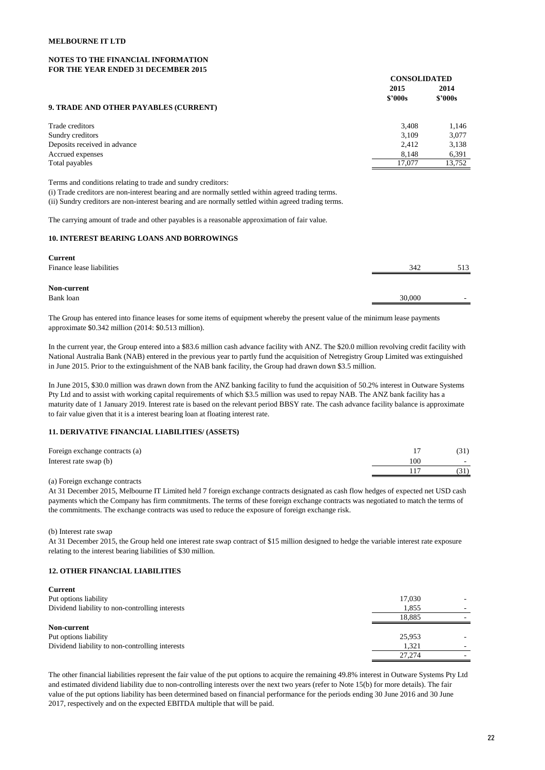# **NOTES TO THE FINANCIAL INFORMATION FOR THE YEAR ENDED 31 DECEMBER 2015**

| том тие тели емер згресемрек того     |                     |         |
|---------------------------------------|---------------------|---------|
|                                       | <b>CONSOLIDATED</b> |         |
|                                       | 2015<br>\$2000s     | 2014    |
| 9. TRADE AND OTHER PAYABLES (CURRENT) |                     | \$2000s |
| Trade creditors                       | 3.408               | 1,146   |
| Sundry creditors                      | 3.109               | 3,077   |
| Deposits received in advance          | 2.412               | 3,138   |
| Accrued expenses                      | 8.148               | 6,391   |
| Total payables                        | 17,077              | 13.752  |

Terms and conditions relating to trade and sundry creditors: (i) Trade creditors are non-interest bearing and are normally settled within agreed trading terms. (ii) Sundry creditors are non-interest bearing and are normally settled within agreed trading terms.

The carrying amount of trade and other payables is a reasonable approximation of fair value.

# **10. INTEREST BEARING LOANS AND BORROWINGS**

| <b>Current</b>            |        |                          |
|---------------------------|--------|--------------------------|
| Finance lease liabilities | 342    | 513                      |
| Non-current               |        |                          |
| Bank loan                 | 30,000 | $\overline{\phantom{a}}$ |
|                           |        |                          |

The Group has entered into finance leases for some items of equipment whereby the present value of the minimum lease payments approximate \$0.342 million (2014: \$0.513 million).

In the current year, the Group entered into a \$83.6 million cash advance facility with ANZ. The \$20.0 million revolving credit facility with National Australia Bank (NAB) entered in the previous year to partly fund the acquisition of Netregistry Group Limited was extinguished in June 2015. Prior to the extinguishment of the NAB bank facility, the Group had drawn down \$3.5 million.

In June 2015, \$30.0 million was drawn down from the ANZ banking facility to fund the acquisition of 50.2% interest in Outware Systems Pty Ltd and to assist with working capital requirements of which \$3.5 million was used to repay NAB. The ANZ bank facility has a maturity date of 1 January 2019. Interest rate is based on the relevant period BBSY rate. The cash advance facility balance is approximate to fair value given that it is a interest bearing loan at floating interest rate.

#### **11. DERIVATIVE FINANCIAL LIABILITIES/ (ASSETS)**

| Foreign exchange contracts (a) |     | (31)            |
|--------------------------------|-----|-----------------|
| Interest rate swap (b)         | 100 | $\sim$ 10 $\pm$ |
|                                |     | (31)            |
|                                |     |                 |

(a) Foreign exchange contracts

At 31 December 2015, Melbourne IT Limited held 7 foreign exchange contracts designated as cash flow hedges of expected net USD cash payments which the Company has firm commitments. The terms of these foreign exchange contracts was negotiated to match the terms of the commitments. The exchange contracts was used to reduce the exposure of foreign exchange risk.

(b) Interest rate swap

At 31 December 2015, the Group held one interest rate swap contract of \$15 million designed to hedge the variable interest rate exposure relating to the interest bearing liabilities of \$30 million.

#### **12. OTHER FINANCIAL LIABILITIES**

| <b>Current</b>                                  |        |  |
|-------------------------------------------------|--------|--|
| Put options liability                           | 17,030 |  |
| Dividend liability to non-controlling interests | 1.855  |  |
|                                                 | 18.885 |  |
| Non-current                                     |        |  |
| Put options liability                           | 25,953 |  |
| Dividend liability to non-controlling interests | 1.321  |  |
|                                                 | 27.274 |  |

The other financial liabilities represent the fair value of the put options to acquire the remaining 49.8% interest in Outware Systems Pty Ltd and estimated dividend liability due to non-controlling interests over the next two years (refer to Note 15(b) for more details). The fair value of the put options liability has been determined based on financial performance for the periods ending 30 June 2016 and 30 June 2017, respectively and on the expected EBITDA multiple that will be paid.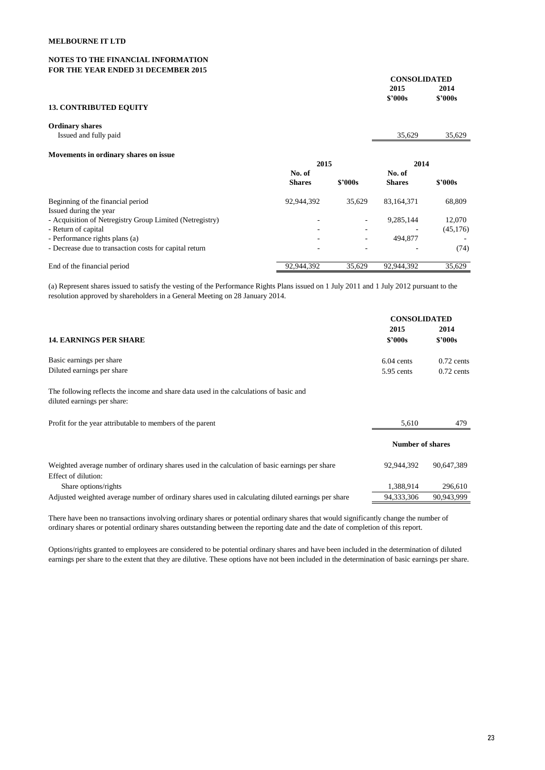# **NOTES TO THE FINANCIAL INFORMATION FOR THE YEAR ENDED 31 DECEMBER 2015**

|                               |                | <b>CONSOLIDATED</b> |  |
|-------------------------------|----------------|---------------------|--|
|                               | 2015           | 2014                |  |
|                               | <b>\$'000s</b> | \$2000s             |  |
| <b>13. CONTRIBUTED EQUITY</b> |                |                     |  |
| <b>Ordinary shares</b>        |                |                     |  |

| Issued and fully paid                                    |               |         | 35,629        | 35,629    |
|----------------------------------------------------------|---------------|---------|---------------|-----------|
| Movements in ordinary shares on issue                    |               |         |               |           |
|                                                          | 2015          |         | 2014          |           |
|                                                          | No. of        |         | No. of        |           |
|                                                          | <b>Shares</b> | \$2000s | <b>Shares</b> | \$2000s   |
| Beginning of the financial period                        | 92,944,392    | 35.629  | 83,164,371    | 68,809    |
| Issued during the year                                   |               |         |               |           |
| - Acquisition of Netregistry Group Limited (Netregistry) |               | ۰       | 9,285,144     | 12.070    |
| - Return of capital                                      | ۰             | ۰       |               | (45, 176) |
| - Performance rights plans (a)                           | ۰             | ۰       | 494,877       |           |
| - Decrease due to transaction costs for capital return   | ۰             | ٠       |               | (74)      |
| End of the financial period                              | 92.944.392    | 35.629  | 92.944.392    | 35.629    |

(a) Represent shares issued to satisfy the vesting of the Performance Rights Plans issued on 1 July 2011 and 1 July 2012 pursuant to the resolution approved by shareholders in a General Meeting on 28 January 2014.

|                                                                                                                       | <b>CONSOLIDATED</b>     |              |
|-----------------------------------------------------------------------------------------------------------------------|-------------------------|--------------|
|                                                                                                                       | 2015                    | 2014         |
| <b>14. EARNINGS PER SHARE</b>                                                                                         | \$'000s                 | \$'000s      |
| Basic earnings per share                                                                                              | $6.04$ cents            | $0.72$ cents |
| Diluted earnings per share                                                                                            | 5.95 cents              | $0.72$ cents |
| The following reflects the income and share data used in the calculations of basic and<br>diluted earnings per share: |                         |              |
| Profit for the year attributable to members of the parent                                                             | 5,610                   | 479          |
|                                                                                                                       | <b>Number of shares</b> |              |
| Weighted average number of ordinary shares used in the calculation of basic earnings per share                        | 92.944.392              | 90,647,389   |
| Effect of dilution:                                                                                                   |                         |              |
| Share options/rights                                                                                                  | 1,388,914               | 296,610      |
| Adjusted weighted average number of ordinary shares used in calculating diluted earnings per share                    | 94.333.306              | 90.943.999   |

There have been no transactions involving ordinary shares or potential ordinary shares that would significantly change the number of ordinary shares or potential ordinary shares outstanding between the reporting date and the date of completion of this report.

Options/rights granted to employees are considered to be potential ordinary shares and have been included in the determination of diluted earnings per share to the extent that they are dilutive. These options have not been included in the determination of basic earnings per share.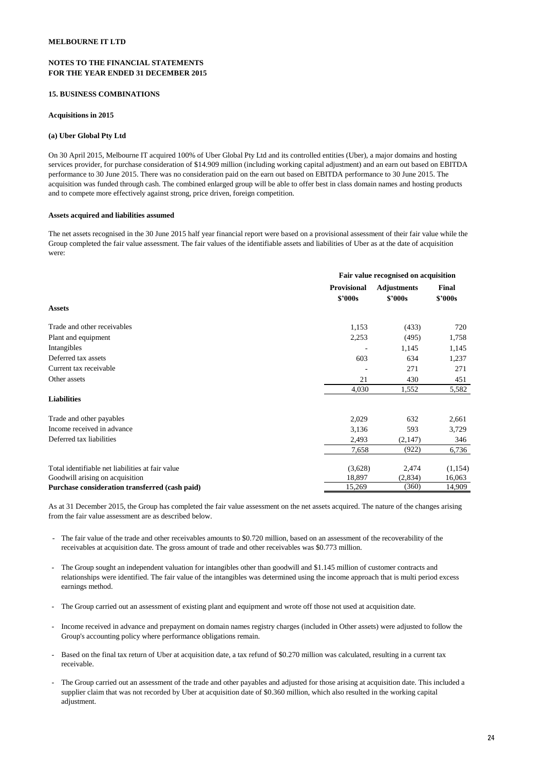# **NOTES TO THE FINANCIAL STATEMENTS FOR THE YEAR ENDED 31 DECEMBER 2015**

#### **15. BUSINESS COMBINATIONS**

#### **Acquisitions in 2015**

#### **(a) Uber Global Pty Ltd**

On 30 April 2015, Melbourne IT acquired 100% of Uber Global Pty Ltd and its controlled entities (Uber), a major domains and hosting services provider, for purchase consideration of \$14.909 million (including working capital adjustment) and an earn out based on EBITDA performance to 30 June 2015. There was no consideration paid on the earn out based on EBITDA performance to 30 June 2015. The acquisition was funded through cash. The combined enlarged group will be able to offer best in class domain names and hosting products and to compete more effectively against strong, price driven, foreign competition.

#### **Assets acquired and liabilities assumed**

The net assets recognised in the 30 June 2015 half year financial report were based on a provisional assessment of their fair value while the Group completed the fair value assessment. The fair values of the identifiable assets and liabilities of Uber as at the date of acquisition were:

|                                                  |                                      | Fair value recognised on acquisition |                         |  |
|--------------------------------------------------|--------------------------------------|--------------------------------------|-------------------------|--|
|                                                  | <b>Provisional</b><br><b>\$'000s</b> | <b>Adjustments</b><br>\$2000s        | Final<br><b>\$'000s</b> |  |
| <b>Assets</b>                                    |                                      |                                      |                         |  |
| Trade and other receivables                      | 1,153                                | (433)                                | 720                     |  |
| Plant and equipment                              | 2,253                                | (495)                                | 1,758                   |  |
| Intangibles                                      |                                      | 1,145                                | 1,145                   |  |
| Deferred tax assets                              | 603                                  | 634                                  | 1,237                   |  |
| Current tax receivable                           |                                      | 271                                  | 271                     |  |
| Other assets                                     | 21                                   | 430                                  | 451                     |  |
|                                                  | 4,030                                | 1,552                                | 5,582                   |  |
| <b>Liabilities</b>                               |                                      |                                      |                         |  |
| Trade and other payables                         | 2,029                                | 632                                  | 2,661                   |  |
| Income received in advance                       | 3,136                                | 593                                  | 3,729                   |  |
| Deferred tax liabilities                         | 2,493                                | (2,147)                              | 346                     |  |
|                                                  | 7,658                                | (922)                                | 6,736                   |  |
| Total identifiable net liabilities at fair value | (3,628)                              | 2,474                                | (1, 154)                |  |
| Goodwill arising on acquisition                  | 18,897                               | (2,834)                              | 16,063                  |  |
| Purchase consideration transferred (cash paid)   | 15,269                               | (360)                                | 14,909                  |  |

As at 31 December 2015, the Group has completed the fair value assessment on the net assets acquired. The nature of the changes arising from the fair value assessment are as described below.

- The fair value of the trade and other receivables amounts to \$0.720 million, based on an assessment of the recoverability of the receivables at acquisition date. The gross amount of trade and other receivables was \$0.773 million.
- The Group sought an independent valuation for intangibles other than goodwill and \$1.145 million of customer contracts and relationships were identified. The fair value of the intangibles was determined using the income approach that is multi period excess earnings method.
- The Group carried out an assessment of existing plant and equipment and wrote off those not used at acquisition date.
- Income received in advance and prepayment on domain names registry charges (included in Other assets) were adjusted to follow the Group's accounting policy where performance obligations remain.
- Based on the final tax return of Uber at acquisition date, a tax refund of \$0.270 million was calculated, resulting in a current tax receivable.
- The Group carried out an assessment of the trade and other payables and adjusted for those arising at acquisition date. This included a supplier claim that was not recorded by Uber at acquisition date of \$0.360 million, which also resulted in the working capital adjustment.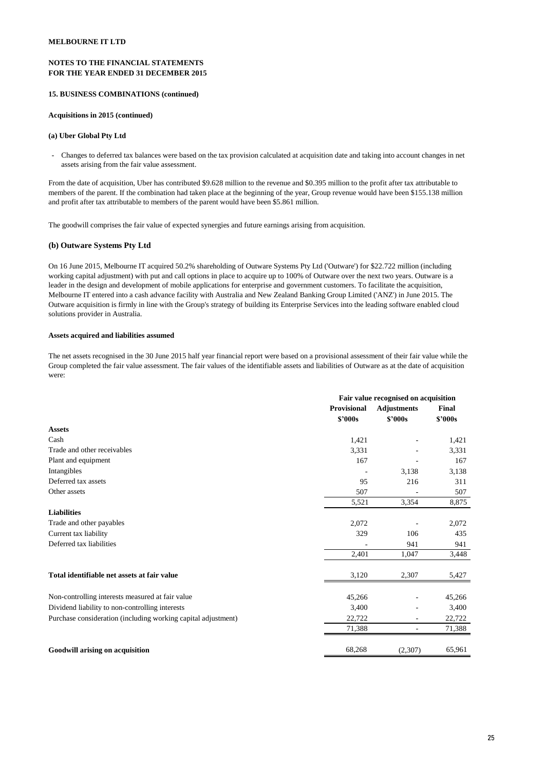# **NOTES TO THE FINANCIAL STATEMENTS FOR THE YEAR ENDED 31 DECEMBER 2015**

## **15. BUSINESS COMBINATIONS (continued)**

## **Acquisitions in 2015 (continued)**

#### **(a) Uber Global Pty Ltd**

- Changes to deferred tax balances were based on the tax provision calculated at acquisition date and taking into account changes in net assets arising from the fair value assessment.

From the date of acquisition, Uber has contributed \$9.628 million to the revenue and \$0.395 million to the profit after tax attributable to members of the parent. If the combination had taken place at the beginning of the year, Group revenue would have been \$155.138 million and profit after tax attributable to members of the parent would have been \$5.861 million.

The goodwill comprises the fair value of expected synergies and future earnings arising from acquisition.

#### **(b) Outware Systems Pty Ltd**

On 16 June 2015, Melbourne IT acquired 50.2% shareholding of Outware Systems Pty Ltd ('Outware') for \$22.722 million (including working capital adjustment) with put and call options in place to acquire up to 100% of Outware over the next two years. Outware is a leader in the design and development of mobile applications for enterprise and government customers. To facilitate the acquisition, Melbourne IT entered into a cash advance facility with Australia and New Zealand Banking Group Limited ('ANZ') in June 2015. The Outware acquisition is firmly in line with the Group's strategy of building its Enterprise Services into the leading software enabled cloud solutions provider in Australia.

#### **Assets acquired and liabilities assumed**

The net assets recognised in the 30 June 2015 half year financial report were based on a provisional assessment of their fair value while the Group completed the fair value assessment. The fair values of the identifiable assets and liabilities of Outware as at the date of acquisition were:

|                                                               | Fair value recognised on acquisition     |                          |         |
|---------------------------------------------------------------|------------------------------------------|--------------------------|---------|
|                                                               | <b>Provisional</b><br><b>Adjustments</b> |                          | Final   |
|                                                               | \$2000s                                  | \$2000s                  | \$'000s |
| <b>Assets</b>                                                 |                                          |                          |         |
| Cash                                                          | 1,421                                    |                          | 1,421   |
| Trade and other receivables                                   | 3,331                                    |                          | 3,331   |
| Plant and equipment                                           | 167                                      |                          | 167     |
| Intangibles                                                   |                                          | 3,138                    | 3,138   |
| Deferred tax assets                                           | 95                                       | 216                      | 311     |
| Other assets                                                  | 507                                      |                          | 507     |
|                                                               | 5,521                                    | 3,354                    | 8,875   |
| <b>Liabilities</b>                                            |                                          |                          |         |
| Trade and other payables                                      | 2,072                                    |                          | 2,072   |
| Current tax liability                                         | 329                                      | 106                      | 435     |
| Deferred tax liabilities                                      |                                          | 941                      | 941     |
|                                                               | 2,401                                    | 1,047                    | 3,448   |
| Total identifiable net assets at fair value                   | 3,120                                    | 2,307                    | 5,427   |
|                                                               |                                          |                          |         |
| Non-controlling interests measured at fair value              | 45,266                                   |                          | 45,266  |
| Dividend liability to non-controlling interests               | 3,400                                    |                          | 3,400   |
| Purchase consideration (including working capital adjustment) | 22,722                                   | $\overline{\phantom{a}}$ | 22,722  |
|                                                               | 71,388                                   | -                        | 71,388  |
| Goodwill arising on acquisition                               | 68,268                                   | (2,307)                  | 65,961  |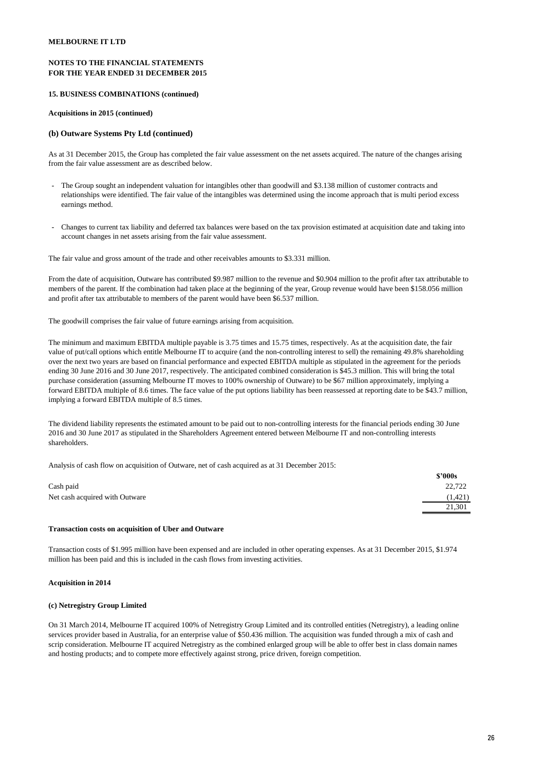# **NOTES TO THE FINANCIAL STATEMENTS FOR THE YEAR ENDED 31 DECEMBER 2015**

#### **15. BUSINESS COMBINATIONS (continued)**

#### **Acquisitions in 2015 (continued)**

#### **(b) Outware Systems Pty Ltd (continued)**

As at 31 December 2015, the Group has completed the fair value assessment on the net assets acquired. The nature of the changes arising from the fair value assessment are as described below.

- The Group sought an independent valuation for intangibles other than goodwill and \$3.138 million of customer contracts and relationships were identified. The fair value of the intangibles was determined using the income approach that is multi period excess earnings method.
- Changes to current tax liability and deferred tax balances were based on the tax provision estimated at acquisition date and taking into account changes in net assets arising from the fair value assessment.

The fair value and gross amount of the trade and other receivables amounts to \$3.331 million.

From the date of acquisition, Outware has contributed \$9.987 million to the revenue and \$0.904 million to the profit after tax attributable to members of the parent. If the combination had taken place at the beginning of the year, Group revenue would have been \$158.056 million and profit after tax attributable to members of the parent would have been \$6.537 million.

The goodwill comprises the fair value of future earnings arising from acquisition.

The minimum and maximum EBITDA multiple payable is 3.75 times and 15.75 times, respectively. As at the acquisition date, the fair value of put/call options which entitle Melbourne IT to acquire (and the non-controlling interest to sell) the remaining 49.8% shareholding over the next two years are based on financial performance and expected EBITDA multiple as stipulated in the agreement for the periods ending 30 June 2016 and 30 June 2017, respectively. The anticipated combined consideration is \$45.3 million. This will bring the total purchase consideration (assuming Melbourne IT moves to 100% ownership of Outware) to be \$67 million approximately, implying a forward EBITDA multiple of 8.6 times. The face value of the put options liability has been reassessed at reporting date to be \$43.7 million, implying a forward EBITDA multiple of 8.5 times.

The dividend liability represents the estimated amount to be paid out to non-controlling interests for the financial periods ending 30 June 2016 and 30 June 2017 as stipulated in the Shareholders Agreement entered between Melbourne IT and non-controlling interests shareholders.

Analysis of cash flow on acquisition of Outware, net of cash acquired as at 31 December 2015:

|                                | \$2000s  |
|--------------------------------|----------|
| Cash paid                      | 22,722   |
| Net cash acquired with Outware | (1, 421) |
|                                | 21,301   |
|                                |          |

# **Transaction costs on acquisition of Uber and Outware**

Transaction costs of \$1.995 million have been expensed and are included in other operating expenses. As at 31 December 2015, \$1.974 million has been paid and this is included in the cash flows from investing activities.

#### **Acquisition in 2014**

#### **(c) Netregistry Group Limited**

On 31 March 2014, Melbourne IT acquired 100% of Netregistry Group Limited and its controlled entities (Netregistry), a leading online services provider based in Australia, for an enterprise value of \$50.436 million. The acquisition was funded through a mix of cash and scrip consideration. Melbourne IT acquired Netregistry as the combined enlarged group will be able to offer best in class domain names and hosting products; and to compete more effectively against strong, price driven, foreign competition.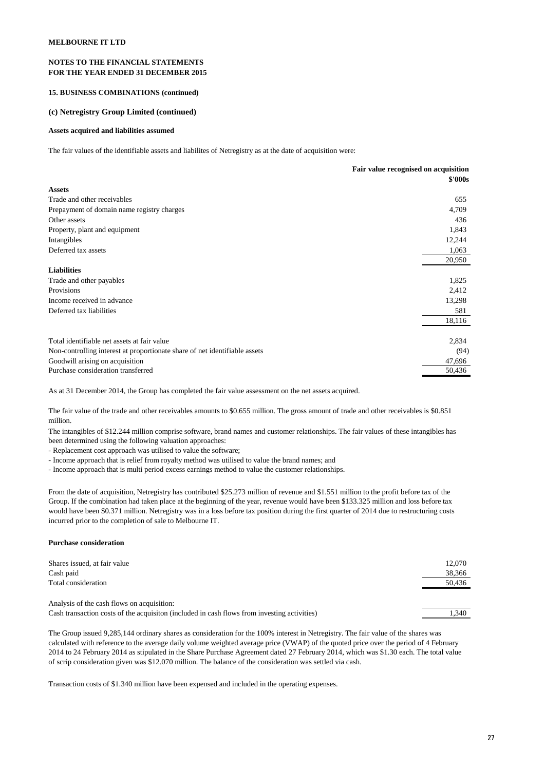#### **NOTES TO THE FINANCIAL STATEMENTS FOR THE YEAR ENDED 31 DECEMBER 2015**

#### **15. BUSINESS COMBINATIONS (continued)**

#### **(c) Netregistry Group Limited (continued)**

#### **Assets acquired and liabilities assumed**

The fair values of the identifiable assets and liabilites of Netregistry as at the date of acquisition were:

|                                                                            | Fair value recognised on acquisition |
|----------------------------------------------------------------------------|--------------------------------------|
|                                                                            | \$'000s                              |
| <b>Assets</b>                                                              |                                      |
| Trade and other receivables                                                | 655                                  |
| Prepayment of domain name registry charges                                 | 4,709                                |
| Other assets                                                               | 436                                  |
| Property, plant and equipment                                              | 1,843                                |
| Intangibles                                                                | 12,244                               |
| Deferred tax assets                                                        | 1,063                                |
|                                                                            | 20,950                               |
| <b>Liabilities</b>                                                         |                                      |
| Trade and other payables                                                   | 1,825                                |
| Provisions                                                                 | 2,412                                |
| Income received in advance                                                 | 13,298                               |
| Deferred tax liabilities                                                   | 581                                  |
|                                                                            | 18,116                               |
| Total identifiable net assets at fair value                                | 2,834                                |
| Non-controlling interest at proportionate share of net identifiable assets | (94)                                 |
| Goodwill arising on acquisition                                            | 47,696                               |
| Purchase consideration transferred                                         | 50,436                               |

As at 31 December 2014, the Group has completed the fair value assessment on the net assets acquired.

The fair value of the trade and other receivables amounts to \$0.655 million. The gross amount of trade and other receivables is \$0.851 million.

The intangibles of \$12.244 million comprise software, brand names and customer relationships. The fair values of these intangibles has been determined using the following valuation approaches:

- Replacement cost approach was utilised to value the software;

- Income approach that is relief from royalty method was utilised to value the brand names; and

- Income approach that is multi period excess earnings method to value the customer relationships.

From the date of acquisition, Netregistry has contributed \$25.273 million of revenue and \$1.551 million to the profit before tax of the Group. If the combination had taken place at the beginning of the year, revenue would have been \$133.325 million and loss before tax would have been \$0.371 million. Netregistry was in a loss before tax position during the first quarter of 2014 due to restructuring costs incurred prior to the completion of sale to Melbourne IT.

#### **Purchase consideration**

| Shares issued, at fair value                                                                 | 12.070 |
|----------------------------------------------------------------------------------------------|--------|
| Cash paid                                                                                    | 38,366 |
| Total consideration                                                                          | 50,436 |
|                                                                                              |        |
| Analysis of the cash flows on acquisition:                                                   |        |
| Cash transaction costs of the acquisition (included in cash flows from investing activities) | 1.340  |
|                                                                                              |        |

The Group issued 9,285,144 ordinary shares as consideration for the 100% interest in Netregistry. The fair value of the shares was calculated with reference to the average daily volume weighted average price (VWAP) of the quoted price over the period of 4 February 2014 to 24 February 2014 as stipulated in the Share Purchase Agreement dated 27 February 2014, which was \$1.30 each. The total value of scrip consideration given was \$12.070 million. The balance of the consideration was settled via cash.

Transaction costs of \$1.340 million have been expensed and included in the operating expenses.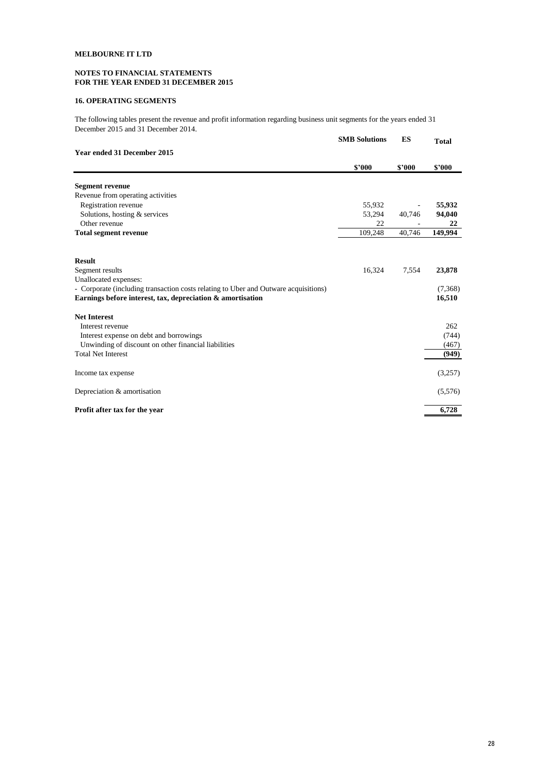# **NOTES TO FINANCIAL STATEMENTS FOR THE YEAR ENDED 31 DECEMBER 2015**

# **16. OPERATING SEGMENTS**

**SMB Solutions ES Total**  The following tables present the revenue and profit information regarding business unit segments for the years ended 31 December 2015 and 31 December 2014.

|                                                                                     | <b>SMB</b> Solutions | E.S    | <b>Total</b> |
|-------------------------------------------------------------------------------------|----------------------|--------|--------------|
| Year ended 31 December 2015                                                         |                      |        |              |
|                                                                                     | \$'000               | \$'000 | \$'000       |
| <b>Segment revenue</b>                                                              |                      |        |              |
| Revenue from operating activities                                                   |                      |        |              |
| Registration revenue                                                                | 55,932               |        | 55,932       |
| Solutions, hosting & services                                                       | 53,294               | 40,746 | 94,040       |
| Other revenue                                                                       | 22                   |        | 22           |
| <b>Total segment revenue</b>                                                        | 109,248              | 40,746 | 149,994      |
| <b>Result</b>                                                                       |                      |        |              |
| Segment results                                                                     | 16,324               | 7,554  | 23,878       |
| Unallocated expenses:                                                               |                      |        |              |
| - Corporate (including transaction costs relating to Uber and Outware acquisitions) |                      |        | (7,368)      |
| Earnings before interest, tax, depreciation & amortisation                          |                      |        | 16,510       |
| <b>Net Interest</b>                                                                 |                      |        |              |
| Interest revenue                                                                    |                      |        | 262          |
| Interest expense on debt and borrowings                                             |                      |        | (744)        |
| Unwinding of discount on other financial liabilities                                |                      |        | (467)        |
| <b>Total Net Interest</b>                                                           |                      |        | (949)        |
| Income tax expense                                                                  |                      |        | (3,257)      |
| Depreciation & amortisation                                                         |                      |        | (5,576)      |
| Profit after tax for the year                                                       |                      |        | 6,728        |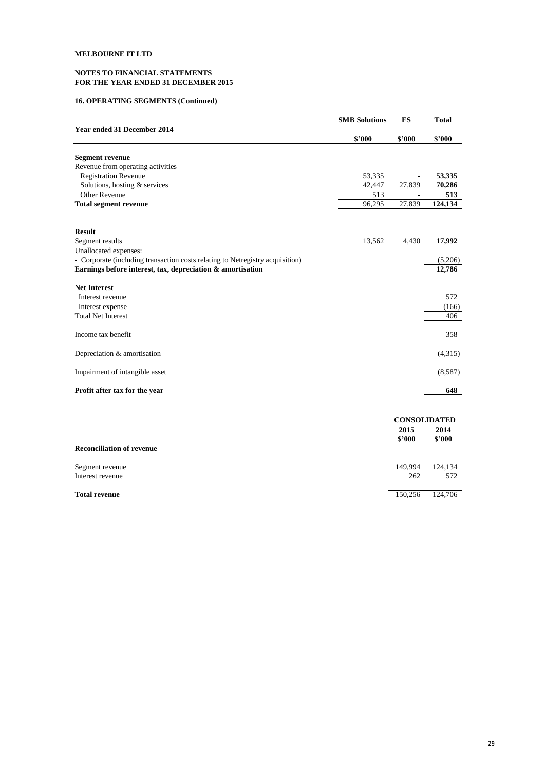# **NOTES TO FINANCIAL STATEMENTS FOR THE YEAR ENDED 31 DECEMBER 2015**

# **16. OPERATING SEGMENTS (Continued)**

|                                                                               | <b>SMB Solutions</b> | ES                  | <b>Total</b>   |
|-------------------------------------------------------------------------------|----------------------|---------------------|----------------|
| Year ended 31 December 2014                                                   | \$2000               | \$2000              | \$2000         |
| <b>Segment revenue</b>                                                        |                      |                     |                |
| Revenue from operating activities                                             |                      |                     |                |
| <b>Registration Revenue</b>                                                   | 53,335               |                     | 53,335         |
| Solutions, hosting & services                                                 | 42,447               | 27,839              | 70,286         |
| Other Revenue                                                                 | 513                  |                     | 513            |
| <b>Total segment revenue</b>                                                  | 96,295               | 27,839              | 124,134        |
| <b>Result</b>                                                                 |                      |                     |                |
| Segment results                                                               | 13,562               | 4,430               | 17,992         |
| Unallocated expenses:                                                         |                      |                     |                |
| - Corporate (including transaction costs relating to Netregistry acquisition) |                      |                     | (5,206)        |
| Earnings before interest, tax, depreciation & amortisation                    |                      |                     | 12,786         |
| <b>Net Interest</b>                                                           |                      |                     |                |
| Interest revenue                                                              |                      |                     | 572            |
| Interest expense                                                              |                      |                     | (166)          |
| <b>Total Net Interest</b>                                                     |                      |                     | 406            |
| Income tax benefit                                                            |                      |                     | 358            |
| Depreciation & amortisation                                                   |                      |                     | (4,315)        |
| Impairment of intangible asset                                                |                      |                     | (8,587)        |
| Profit after tax for the year                                                 |                      |                     | 648            |
|                                                                               |                      |                     |                |
|                                                                               |                      | <b>CONSOLIDATED</b> |                |
|                                                                               |                      | 2015                | 2014           |
| <b>Reconciliation of revenue</b>                                              |                      | \$'000              | \$'000         |
|                                                                               |                      |                     |                |
| Segment revenue<br>Interest revenue                                           |                      | 149,994<br>262      | 124,134<br>572 |
|                                                                               |                      |                     |                |

**Total revenue** 150,256 124,706